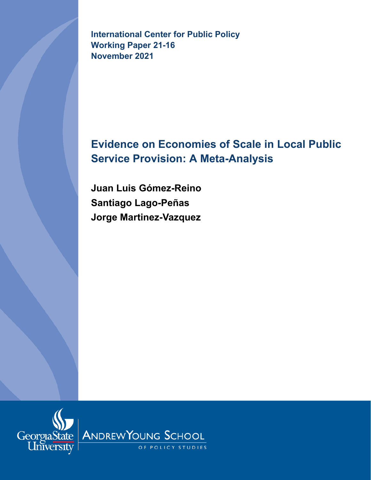**International Center for Public Policy Working Paper 21-16 November 2021**

# **Evidence on Economies of Scale in Local Public Service Provision: A Meta-Analysis**

**Juan Luis Gómez-Reino Santiago Lago-Peñas Jorge Martinez-Vazquez**

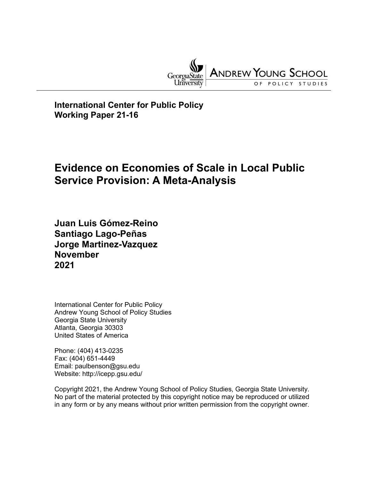

**International Center for Public Policy Working Paper 21-16**

# **Evidence on Economies of Scale in Local Public Service Provision: A Meta-Analysis**

**Juan Luis Gómez-Reino Santiago Lago-Peñas Jorge Martinez-Vazquez November 2021**

International Center for Public Policy Andrew Young School of Policy Studies Georgia State University Atlanta, Georgia 30303 United States of America

Phone: (404) 413-0235 Fax: (404) 651-4449 Email: paulbenson@gsu.edu Website: http://icepp.gsu.edu/

Copyright 2021, the Andrew Young School of Policy Studies, Georgia State University. No part of the material protected by this copyright notice may be reproduced or utilized in any form or by any means without prior written permission from the copyright owner.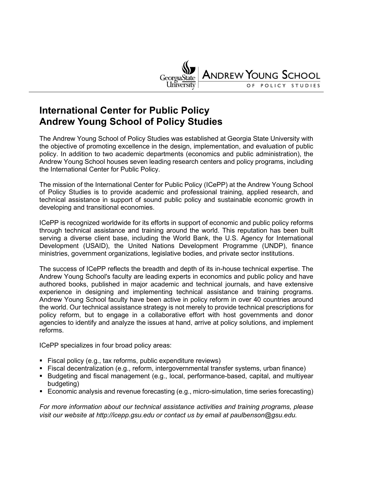

## **International Center for Public Policy Andrew Young School of Policy Studies**

The Andrew Young School of Policy Studies was established at Georgia State University with the objective of promoting excellence in the design, implementation, and evaluation of public policy. In addition to two academic departments (economics and public administration), the Andrew Young School houses seven leading research centers and policy programs, including the International Center for Public Policy.

The mission of the International Center for Public Policy (ICePP) at the Andrew Young School of Policy Studies is to provide academic and professional training, applied research, and technical assistance in support of sound public policy and sustainable economic growth in developing and transitional economies.

ICePP is recognized worldwide for its efforts in support of economic and public policy reforms through technical assistance and training around the world. This reputation has been built serving a diverse client base, including the World Bank, the U.S. Agency for International Development (USAID), the United Nations Development Programme (UNDP), finance ministries, government organizations, legislative bodies, and private sector institutions.

The success of ICePP reflects the breadth and depth of its in-house technical expertise. The Andrew Young School's faculty are leading experts in economics and public policy and have authored books, published in major academic and technical journals, and have extensive experience in designing and implementing technical assistance and training programs. Andrew Young School faculty have been active in policy reform in over 40 countries around the world. Our technical assistance strategy is not merely to provide technical prescriptions for policy reform, but to engage in a collaborative effort with host governments and donor agencies to identify and analyze the issues at hand, arrive at policy solutions, and implement reforms.

ICePP specializes in four broad policy areas:

- **Fiscal policy (e.g., tax reforms, public expenditure reviews)**
- Fiscal decentralization (e.g., reform, intergovernmental transfer systems, urban finance)
- Budgeting and fiscal management (e.g., local, performance-based, capital, and multiyear budgeting)
- Economic analysis and revenue forecasting (e.g., micro-simulation, time series forecasting)

*For more information about our technical assistance activities and training programs, please visit our website at http://icepp.gsu.edu or contact us by email at paulbenson@gsu.edu.*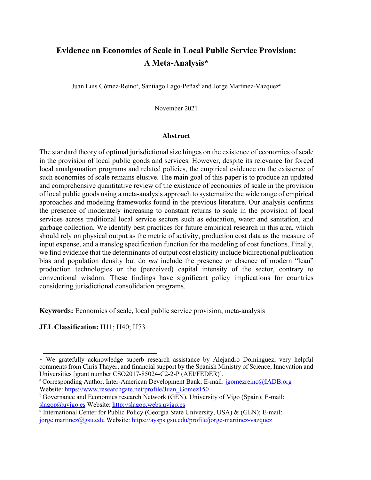## **Evidence on Economies of Scale in Local Public Service Provision: A Meta-Analysis\***

Juan Luis Gómez-Reino<sup>a</sup>, Santiago Lago-Peñas<sup>b</sup> and Jorge Martinez-Vazquez<sup>e</sup>

November 2021

#### **Abstract**

The standard theory of optimal jurisdictional size hinges on the existence of economies of scale in the provision of local public goods and services. However, despite its relevance for forced local amalgamation programs and related policies, the empirical evidence on the existence of such economies of scale remains elusive. The main goal of this paper is to produce an updated and comprehensive quantitative review of the existence of economies of scale in the provision of local public goods using a meta-analysis approach to systematize the wide range of empirical approaches and modeling frameworks found in the previous literature. Our analysis confirms the presence of moderately increasing to constant returns to scale in the provision of local services across traditional local service sectors such as education, water and sanitation, and garbage collection. We identify best practices for future empirical research in this area, which should rely on physical output as the metric of activity, production cost data as the measure of input expense, and a translog specification function for the modeling of cost functions. Finally, we find evidence that the determinants of output cost elasticity include bidirectional publication bias and population density but do *not* include the presence or absence of modern "lean" production technologies or the (perceived) capital intensity of the sector, contrary to conventional wisdom. These findings have significant policy implications for countries considering jurisdictional consolidation programs.

**Keywords:** Economies of scale, local public service provision; meta-analysis

**JEL Classification:** H11; H40; H73

<sup>∗</sup> We gratefully acknowledge superb research assistance by Alejandro Dominguez, very helpful comments from Chris Thayer, and financial support by the Spanish Ministry of Science, Innovation and Universities [grant number CSO2017-85024-C2-2-P (AEI/FEDER)].

<sup>&</sup>lt;sup>a</sup> Corresponding Author. Inter-American Development Bank; E-mail: [jgomezreino@IADB.org](mailto:jgomezreino@IADB.org) Website: https://www.researchgate.net/profile/Juan Gomez150

<sup>&</sup>lt;sup>b</sup> Governance and Economics research Network (GEN). University of Vigo (Spain); E-mail: [slagop@uvigo.es](mailto:slagop@uvigo.es) Website: [http://slagop.webs.uvigo.es](http://slagop.webs.uvigo.es/)

 $c$  International Center for Public Policy (Georgia State University, USA) & (GEN); E-mail: [jorge.martinez@gsu.edu](mailto:jorge.martinez@gsu.edu) Website:<https://aysps.gsu.edu/profile/jorge-martinez-vazquez>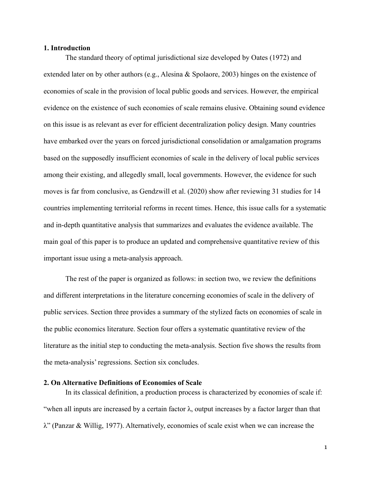#### **1. Introduction**

The standard theory of optimal jurisdictional size developed by Oates (1972) and extended later on by other authors (e.g., Alesina & Spolaore, 2003) hinges on the existence of economies of scale in the provision of local public goods and services. However, the empirical evidence on the existence of such economies of scale remains elusive. Obtaining sound evidence on this issue is as relevant as ever for efficient decentralization policy design. Many countries have embarked over the years on forced jurisdictional consolidation or amalgamation programs based on the supposedly insufficient economies of scale in the delivery of local public services among their existing, and allegedly small, local governments. However, the evidence for such moves is far from conclusive, as Gendzwill et al. (2020) show after reviewing 31 studies for 14 countries implementing territorial reforms in recent times. Hence, this issue calls for a systematic and in-depth quantitative analysis that summarizes and evaluates the evidence available. The main goal of this paper is to produce an updated and comprehensive quantitative review of this important issue using a meta-analysis approach.

The rest of the paper is organized as follows: in section two, we review the definitions and different interpretations in the literature concerning economies of scale in the delivery of public services. Section three provides a summary of the stylized facts on economies of scale in the public economics literature. Section four offers a systematic quantitative review of the literature as the initial step to conducting the meta-analysis. Section five shows the results from the meta-analysis' regressions. Section six concludes.

#### **2. On Alternative Definitions of Economies of Scale**

In its classical definition, a production process is characterized by economies of scale if: "when all inputs are increased by a certain factor  $\lambda$ , output increases by a factor larger than that λ" (Panzar & Willig, 1977). Alternatively, economies of scale exist when we can increase the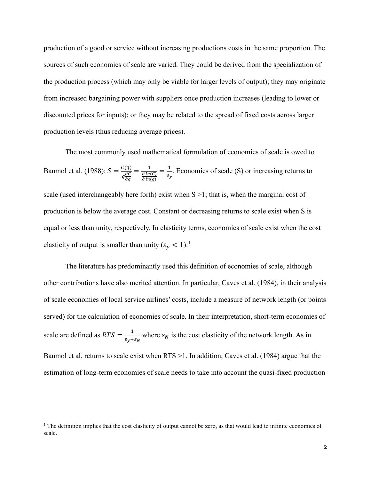production of a good or service without increasing productions costs in the same proportion. The sources of such economies of scale are varied. They could be derived from the specialization of the production process (which may only be viable for larger levels of output); they may originate from increased bargaining power with suppliers once production increases (leading to lower or discounted prices for inputs); or they may be related to the spread of fixed costs across larger production levels (thus reducing average prices).

The most commonly used mathematical formulation of economies of scale is owed to Baumol et al. (1988):  $S = \frac{C(q)}{q \frac{\partial C}{\partial q}}$ дq  $=\frac{1}{\partial \ln(C)}$  $\partial ln(q)$  $=\frac{1}{\varepsilon_y}$ . Economies of scale (S) or increasing returns to scale (used interchangeably here forth) exist when  $S > 1$ ; that is, when the marginal cost of production is below the average cost. Constant or decreasing returns to scale exist when S is equal or less than unity, respectively. In elasticity terms, economies of scale exist when the cost elasticity of output is smaller than unity  $(\varepsilon_y < 1)^{11}$  $(\varepsilon_y < 1)^{11}$  $(\varepsilon_y < 1)^{11}$ .

The literature has predominantly used this definition of economies of scale, although other contributions have also merited attention. In particular, Caves et al. (1984), in their analysis of scale economies of local service airlines' costs, include a measure of network length (or points served) for the calculation of economies of scale. In their interpretation, short-term economies of scale are defined as  $RTS = \frac{1}{\epsilon_y + \epsilon_N}$  where  $\epsilon_N$  is the cost elasticity of the network length. As in Baumol et al, returns to scale exist when RTS >1. In addition, Caves et al. (1984) argue that the estimation of long-term economies of scale needs to take into account the quasi-fixed production

<span id="page-6-0"></span><sup>&</sup>lt;sup>1</sup> The definition implies that the cost elasticity of output cannot be zero, as that would lead to infinite economies of scale.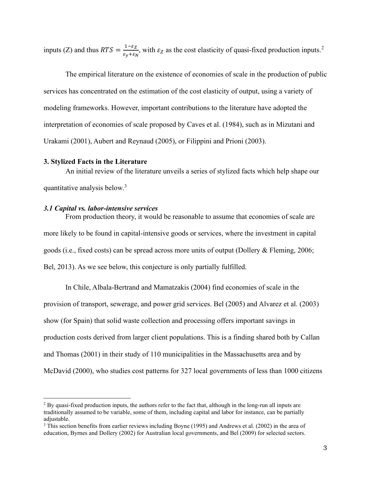inputs (Z) and thus  $RTS = \frac{1-\epsilon_Z}{\epsilon_y+\epsilon_N}$ , with  $\epsilon_Z$  as the cost elasticity of quasi-fixed production inputs.<sup>[2](#page-7-0)</sup>

The empirical literature on the existence of economies of scale in the production of public services has concentrated on the estimation of the cost elasticity of output, using a variety of modeling frameworks. However, important contributions to the literature have adopted the interpretation of economies of scale proposed by Caves et al. (1984), such as in Mizutani and Urakami (2001), Aubert and Reynaud (2005), or Filippini and Prioni (2003).

#### **3. Stylized Facts in the Literature**

An initial review of the literature unveils a series of stylized facts which help shape our quantitative analysis below.[3](#page-7-1)

#### *3.1 Capital vs. labor-intensive services*

From production theory, it would be reasonable to assume that economies of scale are more likely to be found in capital-intensive goods or services, where the investment in capital goods (i.e., fixed costs) can be spread across more units of output (Dollery & Fleming, 2006; Bel, 2013). As we see below, this conjecture is only partially fulfilled.

In Chile, Albala-Bertrand and Mamatzakis (2004) find economies of scale in the provision of transport, sewerage, and power grid services. Bel (2005) and Alvarez et al. (2003) show (for Spain) that solid waste collection and processing offers important savings in production costs derived from larger client populations. This is a finding shared both by Callan and Thomas (2001) in their study of 110 municipalities in the Massachusetts area and by McDavid (2000), who studies cost patterns for 327 local governments of less than 1000 citizens

<span id="page-7-0"></span> $2$  By quasi-fixed production inputs, the authors refer to the fact that, although in the long-run all inputs are traditionally assumed to be variable, some of them, including capital and labor for instance, can be partially adjustable.

<span id="page-7-1"></span><sup>&</sup>lt;sup>3</sup> This section benefits from earlier reviews including Boyne (1995) and Andrews et al. (2002) in the area of education, Byrnes and Dollery (2002) for Australian local governments, and Bel (2009) for selected sectors.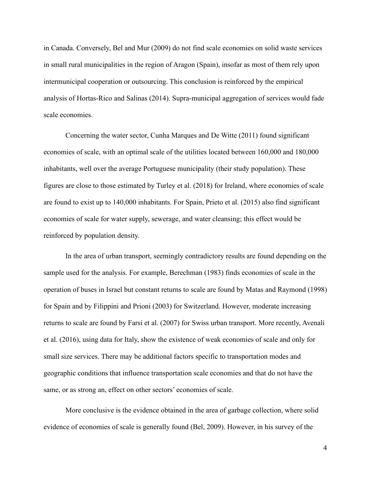in Canada. Conversely, Bel and Mur (2009) do not find scale economies on solid waste services in small rural municipalities in the region of Aragon (Spain), insofar as most of them rely upon intermunicipal cooperation or outsourcing. This conclusion is reinforced by the empirical analysis of Hortas-Rico and Salinas (2014). Supra-municipal aggregation of services would fade scale economies.

Concerning the water sector, Cunha Marques and De Witte (2011) found significant economies of scale, with an optimal scale of the utilities located between 160,000 and 180,000 inhabitants, well over the average Portuguese municipality (their study population). These figures are close to those estimated by Turley et al. (2018) for Ireland, where economies of scale are found to exist up to 140,000 inhabitants. For Spain, Prieto et al. (2015) also find significant economies of scale for water supply, sewerage, and water cleansing; this effect would be reinforced by population density.

In the area of urban transport, seemingly contradictory results are found depending on the sample used for the analysis. For example, Berechman (1983) finds economies of scale in the operation of buses in Israel but constant returns to scale are found by Matas and Raymond (1998) for Spain and by Filippini and Prioni (2003) for Switzerland. However, moderate increasing returns to scale are found by Farsi et al. (2007) for Swiss urban transport. More recently, Avenali et al. (2016), using data for Italy, show the existence of weak economies of scale and only for small size services. There may be additional factors specific to transportation modes and geographic conditions that influence transportation scale economies and that do not have the same, or as strong an, effect on other sectors' economies of scale.

More conclusive is the evidence obtained in the area of garbage collection, where solid evidence of economies of scale is generally found (Bel, 2009). However, in his survey of the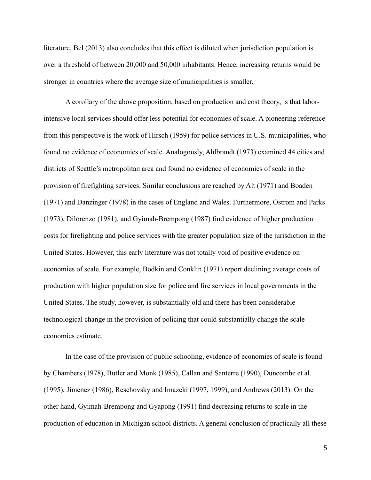literature, Bel (2013) also concludes that this effect is diluted when jurisdiction population is over a threshold of between 20,000 and 50,000 inhabitants. Hence, increasing returns would be stronger in countries where the average size of municipalities is smaller.

A corollary of the above proposition, based on production and cost theory, is that laborintensive local services should offer less potential for economies of scale. A pioneering reference from this perspective is the work of Hirsch (1959) for police services in U.S. municipalities, who found no evidence of economies of scale. Analogously, Ahlbrandt (1973) examined 44 cities and districts of Seattle's metropolitan area and found no evidence of economies of scale in the provision of firefighting services. Similar conclusions are reached by Alt (1971) and Boaden (1971) and Danzinger (1978) in the cases of England and Wales. Furthermore, Ostrom and Parks (1973), Dilorenzo (1981), and Gyimah-Brempong (1987) find evidence of higher production costs for firefighting and police services with the greater population size of the jurisdiction in the United States. However, this early literature was not totally void of positive evidence on economies of scale. For example, Bodkin and Conklin (1971) report declining average costs of production with higher population size for police and fire services in local governments in the United States. The study, however, is substantially old and there has been considerable technological change in the provision of policing that could substantially change the scale economies estimate.

In the case of the provision of public schooling, evidence of economies of scale is found by Chambers (1978), Butler and Monk (1985), Callan and Santerre (1990), Duncombe et al. (1995), Jimenez (1986), Reschovsky and Imazeki (1997, 1999), and Andrews (2013). On the other hand, Gyimah-Brempong and Gyapong (1991) find decreasing returns to scale in the production of education in Michigan school districts. A general conclusion of practically all these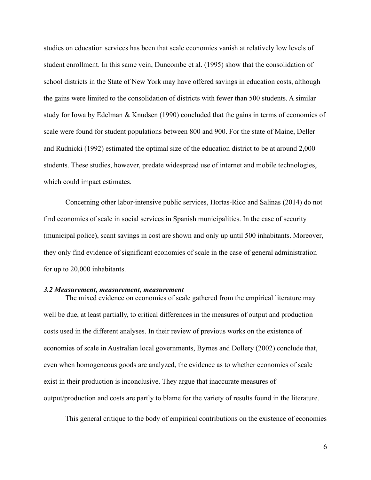studies on education services has been that scale economies vanish at relatively low levels of student enrollment. In this same vein, Duncombe et al. (1995) show that the consolidation of school districts in the State of New York may have offered savings in education costs, although the gains were limited to the consolidation of districts with fewer than 500 students. A similar study for Iowa by Edelman & Knudsen (1990) concluded that the gains in terms of economies of scale were found for student populations between 800 and 900. For the state of Maine, Deller and Rudnicki (1992) estimated the optimal size of the education district to be at around 2,000 students. These studies, however, predate widespread use of internet and mobile technologies, which could impact estimates.

Concerning other labor-intensive public services, Hortas-Rico and Salinas (2014) do not find economies of scale in social services in Spanish municipalities. In the case of security (municipal police), scant savings in cost are shown and only up until 500 inhabitants. Moreover, they only find evidence of significant economies of scale in the case of general administration for up to 20,000 inhabitants.

#### *3.2 Measurement, measurement, measurement*

The mixed evidence on economies of scale gathered from the empirical literature may well be due, at least partially, to critical differences in the measures of output and production costs used in the different analyses. In their review of previous works on the existence of economies of scale in Australian local governments, Byrnes and Dollery (2002) conclude that, even when homogeneous goods are analyzed, the evidence as to whether economies of scale exist in their production is inconclusive. They argue that inaccurate measures of output/production and costs are partly to blame for the variety of results found in the literature.

This general critique to the body of empirical contributions on the existence of economies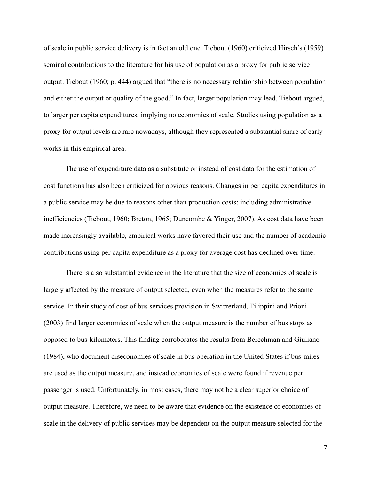of scale in public service delivery is in fact an old one. Tiebout (1960) criticized Hirsch's (1959) seminal contributions to the literature for his use of population as a proxy for public service output. Tiebout (1960; p. 444) argued that "there is no necessary relationship between population and either the output or quality of the good." In fact, larger population may lead, Tiebout argued, to larger per capita expenditures, implying no economies of scale. Studies using population as a proxy for output levels are rare nowadays, although they represented a substantial share of early works in this empirical area.

The use of expenditure data as a substitute or instead of cost data for the estimation of cost functions has also been criticized for obvious reasons. Changes in per capita expenditures in a public service may be due to reasons other than production costs; including administrative inefficiencies (Tiebout, 1960; Breton, 1965; Duncombe & Yinger, 2007). As cost data have been made increasingly available, empirical works have favored their use and the number of academic contributions using per capita expenditure as a proxy for average cost has declined over time.

There is also substantial evidence in the literature that the size of economies of scale is largely affected by the measure of output selected, even when the measures refer to the same service. In their study of cost of bus services provision in Switzerland, Filippini and Prioni (2003) find larger economies of scale when the output measure is the number of bus stops as opposed to bus-kilometers. This finding corroborates the results from Berechman and Giuliano (1984), who document diseconomies of scale in bus operation in the United States if bus-miles are used as the output measure, and instead economies of scale were found if revenue per passenger is used. Unfortunately, in most cases, there may not be a clear superior choice of output measure. Therefore, we need to be aware that evidence on the existence of economies of scale in the delivery of public services may be dependent on the output measure selected for the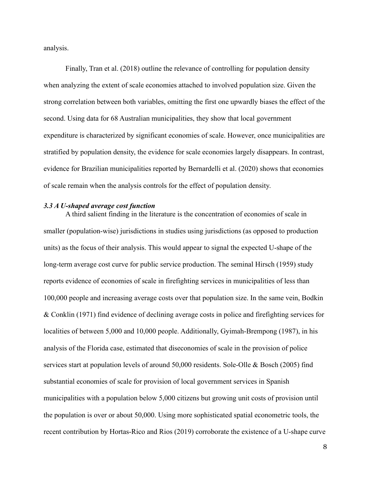analysis.

Finally, Tran et al. (2018) outline the relevance of controlling for population density when analyzing the extent of scale economies attached to involved population size. Given the strong correlation between both variables, omitting the first one upwardly biases the effect of the second. Using data for 68 Australian municipalities, they show that local government expenditure is characterized by significant economies of scale. However, once municipalities are stratified by population density, the evidence for scale economies largely disappears. In contrast, evidence for Brazilian municipalities reported by Bernardelli et al. (2020) shows that economies of scale remain when the analysis controls for the effect of population density.

#### *3.3 A U-shaped average cost function*

A third salient finding in the literature is the concentration of economies of scale in smaller (population-wise) jurisdictions in studies using jurisdictions (as opposed to production units) as the focus of their analysis. This would appear to signal the expected U-shape of the long-term average cost curve for public service production. The seminal Hirsch (1959) study reports evidence of economies of scale in firefighting services in municipalities of less than 100,000 people and increasing average costs over that population size. In the same vein, Bodkin & Conklin (1971) find evidence of declining average costs in police and firefighting services for localities of between 5,000 and 10,000 people. Additionally, Gyimah-Brempong (1987), in his analysis of the Florida case, estimated that diseconomies of scale in the provision of police services start at population levels of around 50,000 residents. Sole-Olle & Bosch (2005) find substantial economies of scale for provision of local government services in Spanish municipalities with a population below 5,000 citizens but growing unit costs of provision until the population is over or about 50,000. Using more sophisticated spatial econometric tools, the recent contribution by Hortas-Rico and Rios (2019) corroborate the existence of a U-shape curve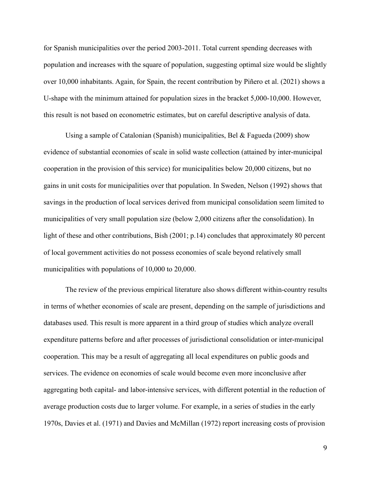for Spanish municipalities over the period 2003-2011. Total current spending decreases with population and increases with the square of population, suggesting optimal size would be slightly over 10,000 inhabitants. Again, for Spain, the recent contribution by Piñero et al. (2021) shows a U-shape with the minimum attained for population sizes in the bracket 5,000-10,000. However, this result is not based on econometric estimates, but on careful descriptive analysis of data.

Using a sample of Catalonian (Spanish) municipalities, Bel & Fagueda (2009) show evidence of substantial economies of scale in solid waste collection (attained by inter-municipal cooperation in the provision of this service) for municipalities below 20,000 citizens, but no gains in unit costs for municipalities over that population. In Sweden, Nelson (1992) shows that savings in the production of local services derived from municipal consolidation seem limited to municipalities of very small population size (below 2,000 citizens after the consolidation). In light of these and other contributions, Bish (2001; p.14) concludes that approximately 80 percent of local government activities do not possess economies of scale beyond relatively small municipalities with populations of 10,000 to 20,000.

The review of the previous empirical literature also shows different within-country results in terms of whether economies of scale are present, depending on the sample of jurisdictions and databases used. This result is more apparent in a third group of studies which analyze overall expenditure patterns before and after processes of jurisdictional consolidation or inter-municipal cooperation. This may be a result of aggregating all local expenditures on public goods and services. The evidence on economies of scale would become even more inconclusive after aggregating both capital- and labor-intensive services, with different potential in the reduction of average production costs due to larger volume. For example, in a series of studies in the early 1970s, Davies et al. (1971) and Davies and McMillan (1972) report increasing costs of provision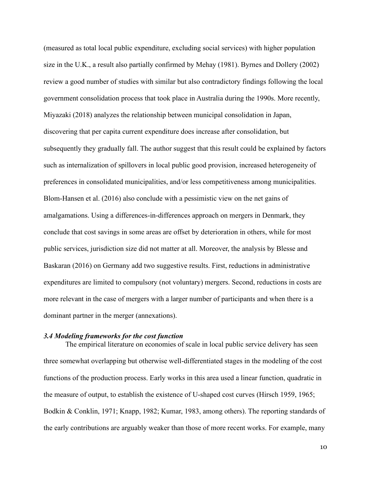(measured as total local public expenditure, excluding social services) with higher population size in the U.K., a result also partially confirmed by Mehay (1981). Byrnes and Dollery (2002) review a good number of studies with similar but also contradictory findings following the local government consolidation process that took place in Australia during the 1990s. More recently, Miyazaki (2018) analyzes the relationship between municipal consolidation in Japan, discovering that per capita current expenditure does increase after consolidation, but subsequently they gradually fall. The author suggest that this result could be explained by factors such as internalization of spillovers in local public good provision, increased heterogeneity of preferences in consolidated municipalities, and/or less competitiveness among municipalities. Blom-Hansen et al. (2016) also conclude with a pessimistic view on the net gains of amalgamations. Using a differences-in-differences approach on mergers in Denmark, they conclude that cost savings in some areas are offset by deterioration in others, while for most public services, jurisdiction size did not matter at all. Moreover, the analysis by Blesse and Baskaran (2016) on Germany add two suggestive results. First, reductions in administrative expenditures are limited to compulsory (not voluntary) mergers. Second, reductions in costs are more relevant in the case of mergers with a larger number of participants and when there is a dominant partner in the merger (annexations).

### *3.4 Modeling frameworks for the cost function*

The empirical literature on economies of scale in local public service delivery has seen three somewhat overlapping but otherwise well-differentiated stages in the modeling of the cost functions of the production process. Early works in this area used a linear function, quadratic in the measure of output, to establish the existence of U-shaped cost curves (Hirsch 1959, 1965; Bodkin & Conklin, 1971; Knapp, 1982; Kumar, 1983, among others). The reporting standards of the early contributions are arguably weaker than those of more recent works. For example, many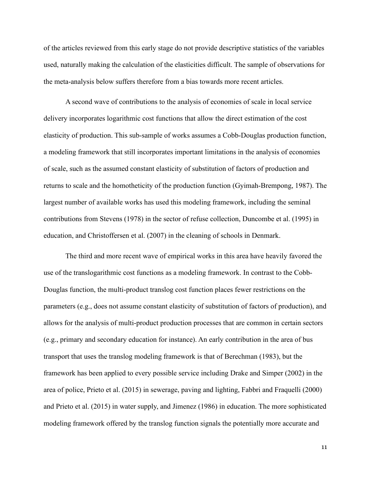of the articles reviewed from this early stage do not provide descriptive statistics of the variables used, naturally making the calculation of the elasticities difficult. The sample of observations for the meta-analysis below suffers therefore from a bias towards more recent articles.

A second wave of contributions to the analysis of economies of scale in local service delivery incorporates logarithmic cost functions that allow the direct estimation of the cost elasticity of production. This sub-sample of works assumes a Cobb-Douglas production function, a modeling framework that still incorporates important limitations in the analysis of economies of scale, such as the assumed constant elasticity of substitution of factors of production and returns to scale and the homotheticity of the production function (Gyimah-Brempong, 1987). The largest number of available works has used this modeling framework, including the seminal contributions from Stevens (1978) in the sector of refuse collection, Duncombe et al. (1995) in education, and Christoffersen et al. (2007) in the cleaning of schools in Denmark.

The third and more recent wave of empirical works in this area have heavily favored the use of the translogarithmic cost functions as a modeling framework. In contrast to the Cobb-Douglas function, the multi-product translog cost function places fewer restrictions on the parameters (e.g., does not assume constant elasticity of substitution of factors of production), and allows for the analysis of multi-product production processes that are common in certain sectors (e.g., primary and secondary education for instance). An early contribution in the area of bus transport that uses the translog modeling framework is that of Berechman (1983), but the framework has been applied to every possible service including Drake and Simper (2002) in the area of police, Prieto et al. (2015) in sewerage, paving and lighting, Fabbri and Fraquelli (2000) and Prieto et al. (2015) in water supply, and Jimenez (1986) in education. The more sophisticated modeling framework offered by the translog function signals the potentially more accurate and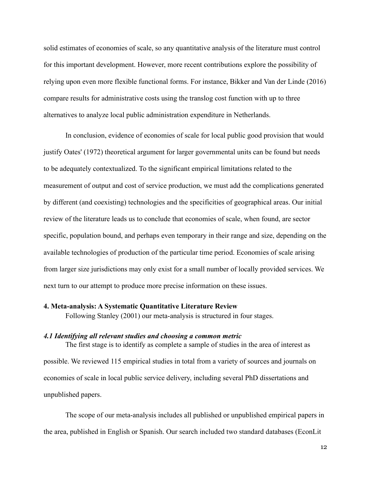solid estimates of economies of scale, so any quantitative analysis of the literature must control for this important development. However, more recent contributions explore the possibility of relying upon even more flexible functional forms. For instance, Bikker and Van der Linde (2016) compare results for administrative costs using the translog cost function with up to three alternatives to analyze local public administration expenditure in Netherlands.

In conclusion, evidence of economies of scale for local public good provision that would justify Oates' (1972) theoretical argument for larger governmental units can be found but needs to be adequately contextualized. To the significant empirical limitations related to the measurement of output and cost of service production, we must add the complications generated by different (and coexisting) technologies and the specificities of geographical areas. Our initial review of the literature leads us to conclude that economies of scale, when found, are sector specific, population bound, and perhaps even temporary in their range and size, depending on the available technologies of production of the particular time period. Economies of scale arising from larger size jurisdictions may only exist for a small number of locally provided services. We next turn to our attempt to produce more precise information on these issues.

#### **4. Meta-analysis: A Systematic Quantitative Literature Review**

Following Stanley (2001) our meta-analysis is structured in four stages.

#### *4.1 Identifying all relevant studies and choosing a common metric*

The first stage is to identify as complete a sample of studies in the area of interest as possible. We reviewed 115 empirical studies in total from a variety of sources and journals on economies of scale in local public service delivery, including several PhD dissertations and unpublished papers.

The scope of our meta-analysis includes all published or unpublished empirical papers in the area, published in English or Spanish. Our search included two standard databases (EconLit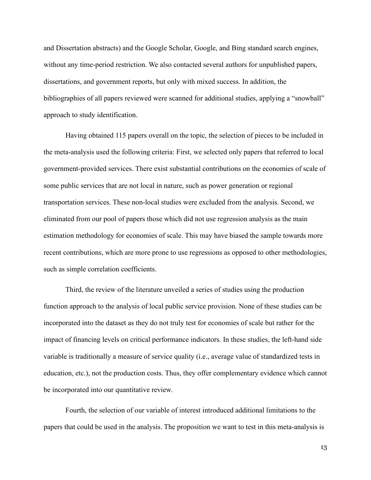and Dissertation abstracts) and the Google Scholar, Google, and Bing standard search engines, without any time-period restriction. We also contacted several authors for unpublished papers, dissertations, and government reports, but only with mixed success. In addition, the bibliographies of all papers reviewed were scanned for additional studies, applying a "snowball" approach to study identification.

Having obtained 115 papers overall on the topic, the selection of pieces to be included in the meta-analysis used the following criteria: First, we selected only papers that referred to local government-provided services. There exist substantial contributions on the economies of scale of some public services that are not local in nature, such as power generation or regional transportation services. These non-local studies were excluded from the analysis. Second, we eliminated from our pool of papers those which did not use regression analysis as the main estimation methodology for economies of scale. This may have biased the sample towards more recent contributions, which are more prone to use regressions as opposed to other methodologies, such as simple correlation coefficients.

Third, the review of the literature unveiled a series of studies using the production function approach to the analysis of local public service provision. None of these studies can be incorporated into the dataset as they do not truly test for economies of scale but rather for the impact of financing levels on critical performance indicators. In these studies, the left-hand side variable is traditionally a measure of service quality (i.e., average value of standardized tests in education, etc.), not the production costs. Thus, they offer complementary evidence which cannot be incorporated into our quantitative review.

Fourth, the selection of our variable of interest introduced additional limitations to the papers that could be used in the analysis. The proposition we want to test in this meta-analysis is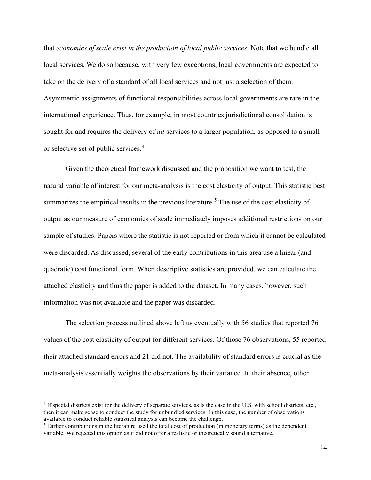that *economies of scale exist in the production of local public services*. Note that we bundle all local services. We do so because, with very few exceptions, local governments are expected to take on the delivery of a standard of all local services and not just a selection of them. Asymmetric assignments of functional responsibilities across local governments are rare in the international experience. Thus, for example, in most countries jurisdictional consolidation is sought for and requires the delivery of *all* services to a larger population, as opposed to a small or selective set of public services.[4](#page-18-0)

Given the theoretical framework discussed and the proposition we want to test, the natural variable of interest for our meta-analysis is the cost elasticity of output. This statistic best summarizes the empirical results in the previous literature.<sup>[5](#page-18-1)</sup> The use of the cost elasticity of output as our measure of economies of scale immediately imposes additional restrictions on our sample of studies. Papers where the statistic is not reported or from which it cannot be calculated were discarded. As discussed, several of the early contributions in this area use a linear (and quadratic) cost functional form. When descriptive statistics are provided, we can calculate the attached elasticity and thus the paper is added to the dataset. In many cases, however, such information was not available and the paper was discarded.

The selection process outlined above left us eventually with 56 studies that reported 76 values of the cost elasticity of output for different services. Of those 76 observations, 55 reported their attached standard errors and 21 did not. The availability of standard errors is crucial as the meta-analysis essentially weights the observations by their variance. In their absence, other

<span id="page-18-0"></span><sup>4</sup> If special districts exist for the delivery of separate services, as is the case in the U.S. with school districts, etc., then it can make sense to conduct the study for unbundled services. In this case, the number of observations available to conduct reliable statistical analysis can become the challenge.

<span id="page-18-1"></span><sup>&</sup>lt;sup>5</sup> Earlier contributions in the literature used the total cost of production (in monetary terms) as the dependent variable. We rejected this option as it did not offer a realistic or theoretically sound alternative.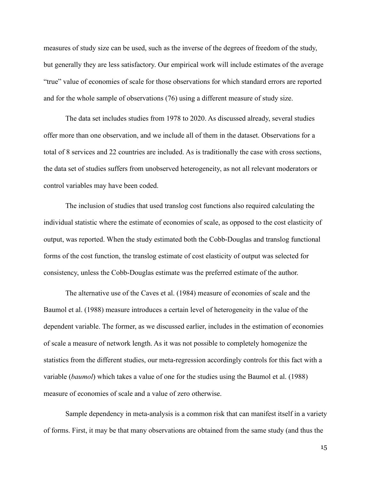measures of study size can be used, such as the inverse of the degrees of freedom of the study, but generally they are less satisfactory. Our empirical work will include estimates of the average "true" value of economies of scale for those observations for which standard errors are reported and for the whole sample of observations (76) using a different measure of study size.

The data set includes studies from 1978 to 2020. As discussed already, several studies offer more than one observation, and we include all of them in the dataset. Observations for a total of 8 services and 22 countries are included. As is traditionally the case with cross sections, the data set of studies suffers from unobserved heterogeneity, as not all relevant moderators or control variables may have been coded.

The inclusion of studies that used translog cost functions also required calculating the individual statistic where the estimate of economies of scale, as opposed to the cost elasticity of output, was reported. When the study estimated both the Cobb-Douglas and translog functional forms of the cost function, the translog estimate of cost elasticity of output was selected for consistency, unless the Cobb-Douglas estimate was the preferred estimate of the author.

The alternative use of the Caves et al. (1984) measure of economies of scale and the Baumol et al. (1988) measure introduces a certain level of heterogeneity in the value of the dependent variable. The former, as we discussed earlier, includes in the estimation of economies of scale a measure of network length. As it was not possible to completely homogenize the statistics from the different studies, our meta-regression accordingly controls for this fact with a variable (*baumol*) which takes a value of one for the studies using the Baumol et al. (1988) measure of economies of scale and a value of zero otherwise.

Sample dependency in meta-analysis is a common risk that can manifest itself in a variety of forms. First, it may be that many observations are obtained from the same study (and thus the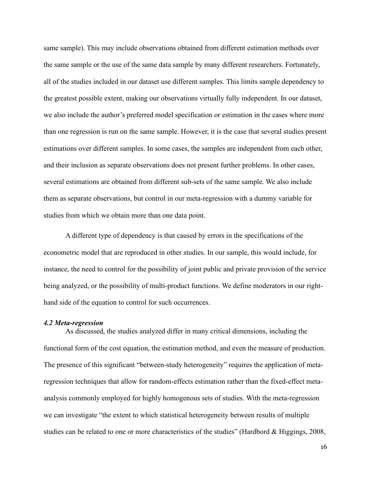same sample). This may include observations obtained from different estimation methods over the same sample or the use of the same data sample by many different researchers. Fortunately, all of the studies included in our dataset use different samples. This limits sample dependency to the greatest possible extent, making our observations virtually fully independent. In our dataset, we also include the author's preferred model specification or estimation in the cases where more than one regression is run on the same sample. However, it is the case that several studies present estimations over different samples. In some cases, the samples are independent from each other, and their inclusion as separate observations does not present further problems. In other cases, several estimations are obtained from different sub-sets of the same sample. We also include them as separate observations, but control in our meta-regression with a dummy variable for studies from which we obtain more than one data point.

A different type of dependency is that caused by errors in the specifications of the econometric model that are reproduced in other studies. In our sample, this would include, for instance, the need to control for the possibility of joint public and private provision of the service being analyzed, or the possibility of multi-product functions. We define moderators in our righthand side of the equation to control for such occurrences.

#### *4.2 Meta-regression*

As discussed, the studies analyzed differ in many critical dimensions, including the functional form of the cost equation, the estimation method, and even the measure of production. The presence of this significant "between-study heterogeneity" requires the application of metaregression techniques that allow for random-effects estimation rather than the fixed-effect metaanalysis commonly employed for highly homogenous sets of studies. With the meta-regression we can investigate "the extent to which statistical heterogeneity between results of multiple studies can be related to one or more characteristics of the studies" (Hardbord & Higgings, 2008,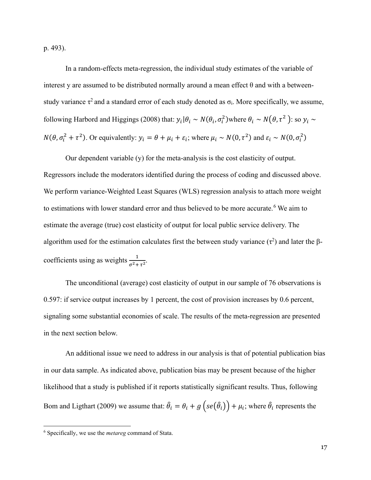p. 493).

In a random-effects meta-regression, the individual study estimates of the variable of interest y are assumed to be distributed normally around a mean effect  $\theta$  and with a betweenstudy variance  $\tau^2$  and a standard error of each study denoted as  $\sigma_i$ . More specifically, we assume, following Harbord and Higgings (2008) that:  $y_i | \theta_i \sim N(\theta_i, \sigma_i^2)$  where  $\theta_i \sim N(\theta, \tau^2)$ : so  $y_i \sim$  $N(\theta, \sigma_i^2 + \tau^2)$ . Or equivalently:  $y_i = \theta + \mu_i + \varepsilon_i$ ; where  $\mu_i \sim N(0, \tau^2)$  and  $\varepsilon_i \sim N(0, \sigma_i^2)$ 

Our dependent variable (y) for the meta-analysis is the cost elasticity of output. Regressors include the moderators identified during the process of coding and discussed above. We perform variance-Weighted Least Squares (WLS) regression analysis to attach more weight to estimations with lower standard error and thus believed to be more accurate.<sup>[6](#page-21-0)</sup> We aim to estimate the average (true) cost elasticity of output for local public service delivery. The algorithm used for the estimation calculates first the between study variance ( $\tau^2$ ) and later the  $\beta$ coefficients using as weights  $\frac{1}{\sigma^2 + \tau^2}$ .

The unconditional (average) cost elasticity of output in our sample of 76 observations is 0.597: if service output increases by 1 percent, the cost of provision increases by 0.6 percent, signaling some substantial economies of scale. The results of the meta-regression are presented in the next section below.

An additional issue we need to address in our analysis is that of potential publication bias in our data sample. As indicated above, publication bias may be present because of the higher likelihood that a study is published if it reports statistically significant results. Thus, following Bom and Ligthart (2009) we assume that:  $\hat{\theta}_i = \theta_i + g (se(\hat{\theta}_i)) + \mu_i$ ; where  $\hat{\theta}_i$  represents the

<span id="page-21-0"></span><sup>6</sup> Specifically, we use the *metareg* command of Stata.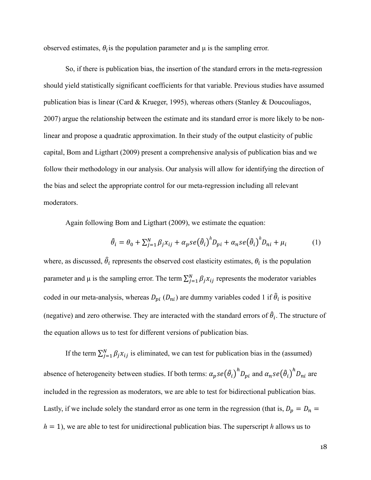observed estimates,  $\theta_i$  is the population parameter and  $\mu$  is the sampling error.

So, if there is publication bias, the insertion of the standard errors in the meta-regression should yield statistically significant coefficients for that variable. Previous studies have assumed publication bias is linear (Card & Krueger, 1995), whereas others (Stanley & Doucouliagos, 2007) argue the relationship between the estimate and its standard error is more likely to be nonlinear and propose a quadratic approximation. In their study of the output elasticity of public capital, Bom and Ligthart (2009) present a comprehensive analysis of publication bias and we follow their methodology in our analysis. Our analysis will allow for identifying the direction of the bias and select the appropriate control for our meta-regression including all relevant moderators.

Again following Bom and Ligthart (2009), we estimate the equation:

$$
\hat{\theta}_i = \theta_0 + \sum_{j=1}^N \beta_j x_{ij} + \alpha_p s e(\hat{\theta}_i)^b D_{pi} + \alpha_n s e(\hat{\theta}_i)^b D_{ni} + \mu_i \tag{1}
$$

where, as discussed,  $\hat{\theta}_i$  represents the observed cost elasticity estimates,  $\theta_i$  is the population parameter and  $\mu$  is the sampling error. The term  $\sum_{j=1}^{N} \beta_j x_{ij}$  represents the moderator variables coded in our meta-analysis, whereas  $D_{pi}(D_{ni})$  are dummy variables coded 1 if  $\hat{\theta}_i$  is positive (negative) and zero otherwise. They are interacted with the standard errors of  $\hat{\theta}_i$ . The structure of the equation allows us to test for different versions of publication bias.

If the term  $\sum_{j=1}^{N} \beta_j x_{ij}$  is eliminated, we can test for publication bias in the (assumed) absence of heterogeneity between studies. If both terms:  $\alpha_p se(\hat{\theta}_i)^n D_{pi}$  and  $\alpha_n se(\hat{\theta}_i)^n D_{ni}$  are included in the regression as moderators, we are able to test for bidirectional publication bias. Lastly, if we include solely the standard error as one term in the regression (that is,  $D_p = D_n$ *h* = 1), we are able to test for unidirectional publication bias. The superscript *h* allows us to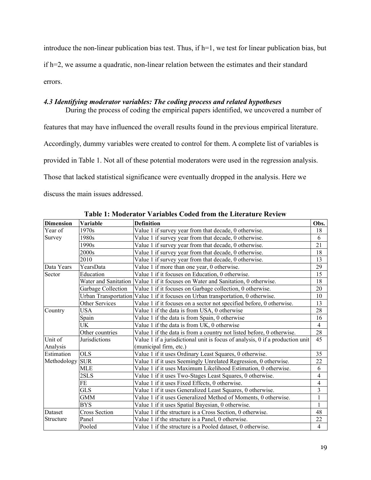introduce the non-linear publication bias test. Thus, if h=1, we test for linear publication bias, but if h=2, we assume a quadratic, non-linear relation between the estimates and their standard errors.

### *4.3 Identifying moderator variables: The coding process and related hypotheses*

During the process of coding the empirical papers identified, we uncovered a number of features that may have influenced the overall results found in the previous empirical literature. Accordingly, dummy variables were created to control for them. A complete list of variables is provided in Table 1. Not all of these potential moderators were used in the regression analysis. Those that lacked statistical significance were eventually dropped in the analysis. Here we discuss the main issues addressed.

| <b>Dimension</b> | Variable             | <b>Definition</b>                                                                | Obs.                     |  |  |
|------------------|----------------------|----------------------------------------------------------------------------------|--------------------------|--|--|
| Year of          | 1970s                | Value 1 if survey year from that decade, 0 otherwise.                            | 18                       |  |  |
| Survey           | 1980s                | Value 1 if survey year from that decade, 0 otherwise.                            | 6                        |  |  |
|                  | 1990s                | Value 1 if survey year from that decade, 0 otherwise.                            | 21                       |  |  |
|                  | 2000s                | Value 1 if survey year from that decade, 0 otherwise.                            |                          |  |  |
|                  | 2010                 | Value 1 if survey year from that decade, 0 otherwise.                            |                          |  |  |
| Data Years       | YearsData            | Value 1 if more than one year, 0 otherwise.                                      | 29                       |  |  |
| Sector           | Education            | Value 1 if it focuses on Education, 0 otherwise.                                 | 15                       |  |  |
|                  |                      | Water and Sanitation Value 1 if it focuses on Water and Sanitation, 0 otherwise. | 18                       |  |  |
|                  | Garbage Collection   | Value 1 if it focuses on Garbage collection, 0 otherwise.                        | 20                       |  |  |
|                  |                      | Urban Transportation Value 1 if it focuses on Urban transportation, 0 otherwise. | 10                       |  |  |
|                  | Other Services       | Value 1 if it focuses on a sector not specified before, 0 otherwise.             | 13                       |  |  |
| Country          | <b>USA</b>           | Value 1 if the data is from USA, 0 otherwise                                     |                          |  |  |
|                  | Spain                | Value 1 if the data is from Spain, 0 otherwise                                   | 16                       |  |  |
|                  | <b>UK</b>            | Value 1 if the data is from UK, 0 otherwise                                      | $\overline{4}$           |  |  |
|                  | Other countries      | Value 1 if the data is from a country not listed before, 0 otherwise.            | 28                       |  |  |
| Unit of          | Jurisdictions        | Value 1 if a jurisdictional unit is focus of analysis, 0 if a production unit    | 45                       |  |  |
| Analysis         |                      | (municipal firm, etc.)                                                           |                          |  |  |
| Estimation       | <b>OLS</b>           | Value 1 if it uses Ordinary Least Squares, 0 otherwise.                          | 35                       |  |  |
| Methodology      | <b>SUR</b>           | Value 1 if it uses Seemingly Unrelated Regression, 0 otherwise.                  | 22                       |  |  |
|                  | <b>MLE</b>           | Value 1 if it uses Maximum Likelihood Estimation, 0 otherwise.                   | 6                        |  |  |
|                  | 2SLS                 | Value 1 if it uses Two-Stages Least Squares, 0 otherwise.                        | $\overline{\mathcal{L}}$ |  |  |
|                  | FE                   | Value 1 if it uses Fixed Effects, 0 otherwise.                                   | $\overline{\mathcal{L}}$ |  |  |
|                  | <b>GLS</b>           | Value 1 if it uses Generalized Least Squares, 0 otherwise.                       |                          |  |  |
|                  | GMM                  | Value 1 if it uses Generalized Method of Moments, 0 otherwise.                   | $\mathbf{1}$             |  |  |
|                  | <b>BYS</b>           | Value 1 if it uses Spatial Bayesian, 0 otherwise.                                | $\mathbf{1}$             |  |  |
| Dataset          | <b>Cross Section</b> | Value 1 if the structure is a Cross Section, 0 otherwise.                        | 48                       |  |  |
| Structure        | Panel                | Value 1 if the structure is a Panel, 0 otherwise.                                | 22                       |  |  |
|                  | Pooled               | Value 1 if the structure is a Pooled dataset, 0 otherwise.                       | $\overline{4}$           |  |  |

**Table 1: Moderator Variables Coded from the Literature Review**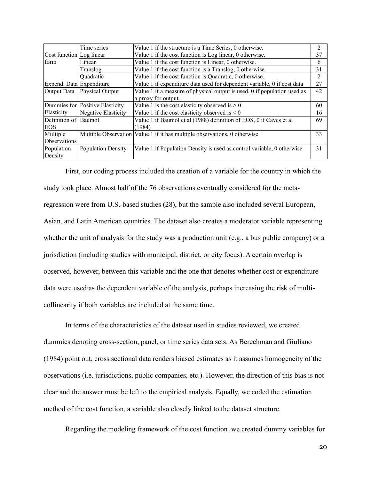|                          | Time series                     | Value 1 if the structure is a Time Series, 0 otherwise.                     | 2  |
|--------------------------|---------------------------------|-----------------------------------------------------------------------------|----|
| Cost function Log linear |                                 | Value 1 if the cost function is Log linear, 0 otherwise.                    | 37 |
| form                     | Linear                          | Value 1 if the cost function is Linear, 0 otherwise.                        | 6  |
|                          | Translog                        | Value 1 if the cost function is a Translog, 0 otherwise.                    | 31 |
|                          | Ouadratic                       | Value 1 if the cost function is Quadratic, 0 otherwise.                     | 2  |
| Expend. Data Expenditure |                                 | Value 1 if expenditure data used for dependent variable, 0 if cost data     | 27 |
|                          | Output Data Physical Output     | Value 1 if a measure of physical output is used, 0 if population used as    | 42 |
|                          |                                 | a proxy for output.                                                         |    |
|                          | Dummies for Positive Elasticity | Value 1 is the cost elasticity observed is $> 0$                            | 60 |
| Elasticity               | Negative Elasticity             | Value 1 if the cost elasticity observed is $\leq 0$                         | 16 |
| Definition of Baumol     |                                 | Value 1 if Baumol et al (1988) definition of EOS, 0 if Caves et al          | 69 |
| EOS                      |                                 | (1984)                                                                      |    |
| Multiple                 |                                 | Multiple Observation   Value 1 if it has multiple observations, 0 otherwise | 33 |
| Observations             |                                 |                                                                             |    |
| Population               | Population Density              | Value 1 if Population Density is used as control variable, 0 otherwise.     | 31 |
| Density                  |                                 |                                                                             |    |

First, our coding process included the creation of a variable for the country in which the study took place. Almost half of the 76 observations eventually considered for the metaregression were from U.S.-based studies (28), but the sample also included several European, Asian, and Latin American countries. The dataset also creates a moderator variable representing whether the unit of analysis for the study was a production unit (e.g., a bus public company) or a jurisdiction (including studies with municipal, district, or city focus). A certain overlap is observed, however, between this variable and the one that denotes whether cost or expenditure data were used as the dependent variable of the analysis, perhaps increasing the risk of multicollinearity if both variables are included at the same time.

In terms of the characteristics of the dataset used in studies reviewed, we created dummies denoting cross-section, panel, or time series data sets. As Berechman and Giuliano (1984) point out, cross sectional data renders biased estimates as it assumes homogeneity of the observations (i.e. jurisdictions, public companies, etc.). However, the direction of this bias is not clear and the answer must be left to the empirical analysis. Equally, we coded the estimation method of the cost function, a variable also closely linked to the dataset structure.

Regarding the modeling framework of the cost function, we created dummy variables for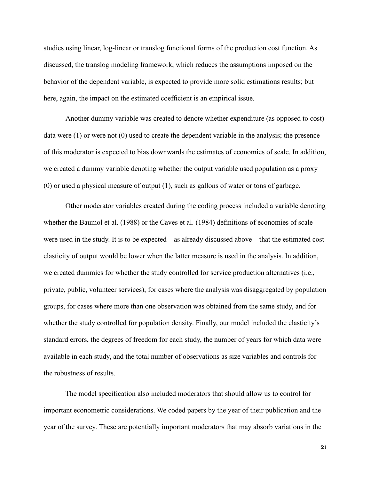studies using linear, log-linear or translog functional forms of the production cost function. As discussed, the translog modeling framework, which reduces the assumptions imposed on the behavior of the dependent variable, is expected to provide more solid estimations results; but here, again, the impact on the estimated coefficient is an empirical issue.

Another dummy variable was created to denote whether expenditure (as opposed to cost) data were (1) or were not (0) used to create the dependent variable in the analysis; the presence of this moderator is expected to bias downwards the estimates of economies of scale. In addition, we created a dummy variable denoting whether the output variable used population as a proxy (0) or used a physical measure of output (1), such as gallons of water or tons of garbage.

Other moderator variables created during the coding process included a variable denoting whether the Baumol et al. (1988) or the Caves et al. (1984) definitions of economies of scale were used in the study. It is to be expected—as already discussed above—that the estimated cost elasticity of output would be lower when the latter measure is used in the analysis. In addition, we created dummies for whether the study controlled for service production alternatives (i.e., private, public, volunteer services), for cases where the analysis was disaggregated by population groups, for cases where more than one observation was obtained from the same study, and for whether the study controlled for population density. Finally, our model included the elasticity's standard errors, the degrees of freedom for each study, the number of years for which data were available in each study, and the total number of observations as size variables and controls for the robustness of results.

The model specification also included moderators that should allow us to control for important econometric considerations. We coded papers by the year of their publication and the year of the survey. These are potentially important moderators that may absorb variations in the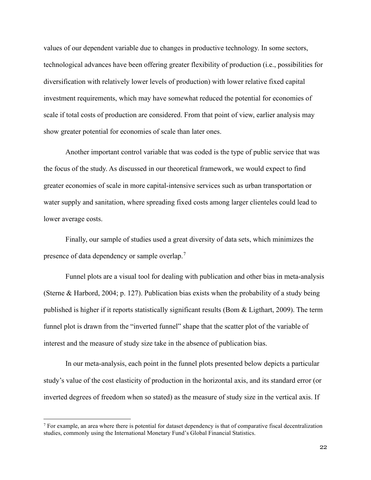values of our dependent variable due to changes in productive technology. In some sectors, technological advances have been offering greater flexibility of production (i.e., possibilities for diversification with relatively lower levels of production) with lower relative fixed capital investment requirements, which may have somewhat reduced the potential for economies of scale if total costs of production are considered. From that point of view, earlier analysis may show greater potential for economies of scale than later ones.

Another important control variable that was coded is the type of public service that was the focus of the study. As discussed in our theoretical framework, we would expect to find greater economies of scale in more capital-intensive services such as urban transportation or water supply and sanitation, where spreading fixed costs among larger clienteles could lead to lower average costs.

Finally, our sample of studies used a great diversity of data sets, which minimizes the presence of data dependency or sample overlap.<sup>[7](#page-26-0)</sup>

Funnel plots are a visual tool for dealing with publication and other bias in meta-analysis (Sterne & Harbord, 2004; p. 127). Publication bias exists when the probability of a study being published is higher if it reports statistically significant results (Bom & Ligthart, 2009). The term funnel plot is drawn from the "inverted funnel" shape that the scatter plot of the variable of interest and the measure of study size take in the absence of publication bias.

In our meta-analysis, each point in the funnel plots presented below depicts a particular study's value of the cost elasticity of production in the horizontal axis, and its standard error (or inverted degrees of freedom when so stated) as the measure of study size in the vertical axis. If

<span id="page-26-0"></span><sup>7</sup> For example, an area where there is potential for dataset dependency is that of comparative fiscal decentralization studies, commonly using the International Monetary Fund's Global Financial Statistics.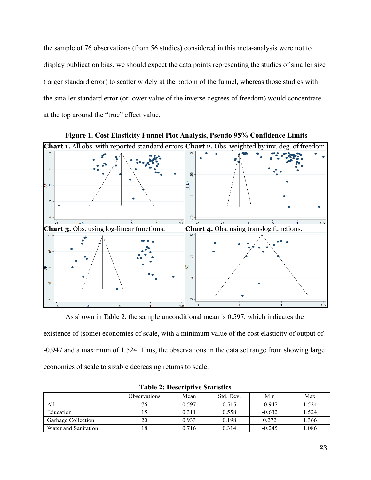the sample of 76 observations (from 56 studies) considered in this meta-analysis were not to display publication bias, we should expect the data points representing the studies of smaller size (larger standard error) to scatter widely at the bottom of the funnel, whereas those studies with the smaller standard error (or lower value of the inverse degrees of freedom) would concentrate at the top around the "true" effect value.



As shown in Table 2, the sample unconditional mean is 0.597, which indicates the

existence of (some) economies of scale, with a minimum value of the cost elasticity of output of -0.947 and a maximum of 1.524. Thus, the observations in the data set range from showing large economies of scale to sizable decreasing returns to scale.

|                      | <b>Observations</b> | Mean  | Std. Dev. | Min      | Max   |
|----------------------|---------------------|-------|-----------|----------|-------|
| All                  | 76                  | 0.597 | 0.515     | $-0.947$ | 1.524 |
| Education            |                     | 0.311 | 0.558     | $-0.632$ | 1.524 |
| Garbage Collection   | 20                  | 0.933 | 0.198     | 0.272    | 1.366 |
| Water and Sanitation | l 8                 | 0.716 | 0.314     | $-0.245$ | 1.086 |

**Table 2: Descriptive Statistics**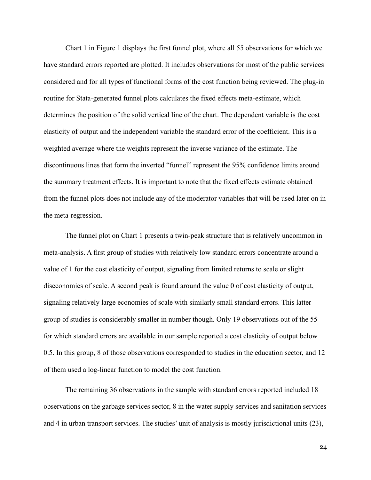Chart 1 in Figure 1 displays the first funnel plot, where all 55 observations for which we have standard errors reported are plotted. It includes observations for most of the public services considered and for all types of functional forms of the cost function being reviewed. The plug-in routine for Stata-generated funnel plots calculates the fixed effects meta-estimate, which determines the position of the solid vertical line of the chart. The dependent variable is the cost elasticity of output and the independent variable the standard error of the coefficient. This is a weighted average where the weights represent the inverse variance of the estimate. The discontinuous lines that form the inverted "funnel" represent the 95% confidence limits around the summary treatment effects. It is important to note that the fixed effects estimate obtained from the funnel plots does not include any of the moderator variables that will be used later on in the meta-regression.

The funnel plot on Chart 1 presents a twin-peak structure that is relatively uncommon in meta-analysis. A first group of studies with relatively low standard errors concentrate around a value of 1 for the cost elasticity of output, signaling from limited returns to scale or slight diseconomies of scale. A second peak is found around the value 0 of cost elasticity of output, signaling relatively large economies of scale with similarly small standard errors. This latter group of studies is considerably smaller in number though. Only 19 observations out of the 55 for which standard errors are available in our sample reported a cost elasticity of output below 0.5. In this group, 8 of those observations corresponded to studies in the education sector, and 12 of them used a log-linear function to model the cost function.

The remaining 36 observations in the sample with standard errors reported included 18 observations on the garbage services sector, 8 in the water supply services and sanitation services and 4 in urban transport services. The studies' unit of analysis is mostly jurisdictional units (23),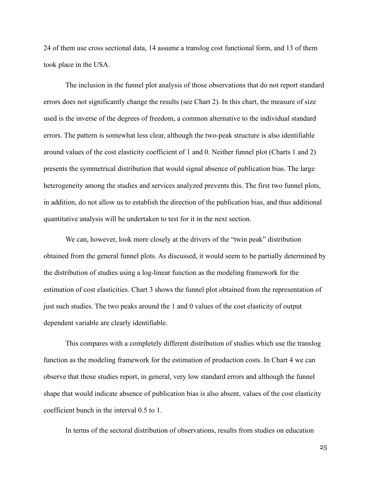24 of them use cross sectional data, 14 assume a translog cost functional form, and 13 of them took place in the USA.

The inclusion in the funnel plot analysis of those observations that do not report standard errors does not significantly change the results (see Chart 2). In this chart, the measure of size used is the inverse of the degrees of freedom, a common alternative to the individual standard errors. The pattern is somewhat less clear, although the two-peak structure is also identifiable around values of the cost elasticity coefficient of 1 and 0. Neither funnel plot (Charts 1 and 2) presents the symmetrical distribution that would signal absence of publication bias. The large heterogeneity among the studies and services analyzed prevents this. The first two funnel plots, in addition, do not allow us to establish the direction of the publication bias, and thus additional quantitative analysis will be undertaken to test for it in the next section.

We can, however, look more closely at the drivers of the "twin peak" distribution obtained from the general funnel plots. As discussed, it would seem to be partially determined by the distribution of studies using a log-linear function as the modeling framework for the estimation of cost elasticities. Chart 3 shows the funnel plot obtained from the representation of just such studies. The two peaks around the 1 and 0 values of the cost elasticity of output dependent variable are clearly identifiable.

This compares with a completely different distribution of studies which use the translog function as the modeling framework for the estimation of production costs. In Chart 4 we can observe that those studies report, in general, very low standard errors and although the funnel shape that would indicate absence of publication bias is also absent, values of the cost elasticity coefficient bunch in the interval 0.5 to 1.

In terms of the sectoral distribution of observations, results from studies on education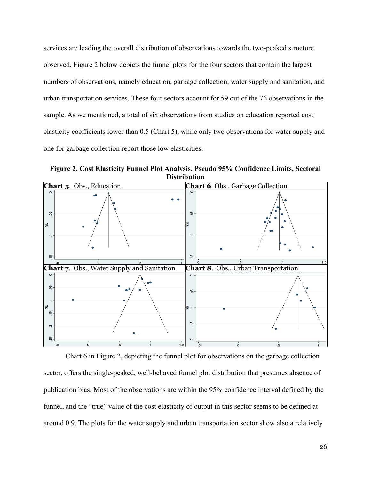services are leading the overall distribution of observations towards the two-peaked structure observed. Figure 2 below depicts the funnel plots for the four sectors that contain the largest numbers of observations, namely education, garbage collection, water supply and sanitation, and urban transportation services. These four sectors account for 59 out of the 76 observations in the sample. As we mentioned, a total of six observations from studies on education reported cost elasticity coefficients lower than 0.5 (Chart 5), while only two observations for water supply and one for garbage collection report those low elasticities.

**Figure 2. Cost Elasticity Funnel Plot Analysis, Pseudo 95% Confidence Limits, Sectoral Distribution**



Chart 6 in Figure 2, depicting the funnel plot for observations on the garbage collection sector, offers the single-peaked, well-behaved funnel plot distribution that presumes absence of publication bias. Most of the observations are within the 95% confidence interval defined by the funnel, and the "true" value of the cost elasticity of output in this sector seems to be defined at around 0.9. The plots for the water supply and urban transportation sector show also a relatively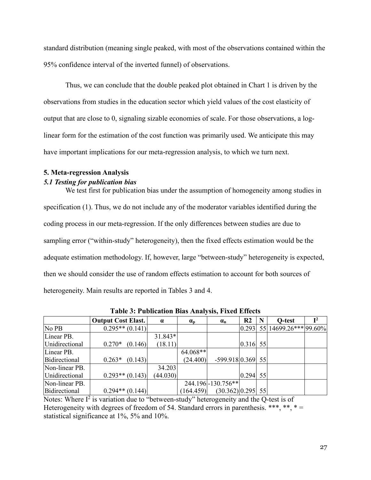standard distribution (meaning single peaked, with most of the observations contained within the 95% confidence interval of the inverted funnel) of observations.

Thus, we can conclude that the double peaked plot obtained in Chart 1 is driven by the observations from studies in the education sector which yield values of the cost elasticity of output that are close to 0, signaling sizable economies of scale. For those observations, a loglinear form for the estimation of the cost function was primarily used. We anticipate this may have important implications for our meta-regression analysis, to which we turn next.

#### **5. Meta-regression Analysis**

#### *5.1 Testing for publication bias*

We test first for publication bias under the assumption of homogeneity among studies in specification (1). Thus, we do not include any of the moderator variables identified during the coding process in our meta-regression. If the only differences between studies are due to sampling error ("within-study" heterogeneity), then the fixed effects estimation would be the adequate estimation methodology. If, however, large "between-study" heterogeneity is expected, then we should consider the use of random effects estimation to account for both sources of heterogeneity. Main results are reported in Tables 3 and 4.

|                | <b>Output Cost Elast.</b> | $\alpha$ | $\alpha_{\rm p}$ | $\alpha_{\rm n}$     | $\mathbf{R2}$ | N | Q-test                                                       |  |
|----------------|---------------------------|----------|------------------|----------------------|---------------|---|--------------------------------------------------------------|--|
| No PB          | $0.295**$ (0.141)         |          |                  |                      |               |   | $\left  0.293 \right  55 \left  14699.26*** \right  99.60\%$ |  |
| Linear PB.     |                           | 31.843*  |                  |                      |               |   |                                                              |  |
| Unidirectional | $0.270*$<br>(0.146)       | (18.11)  |                  |                      | $0.316$ 55    |   |                                                              |  |
| Linear PB.     |                           |          | $64.068**$       |                      |               |   |                                                              |  |
| Bidirectional  | (0.143)<br>$0.263*$       |          | (24.400)         | $-599.918[0.369]$ 55 |               |   |                                                              |  |
| Non-linear PB. |                           | 34.203   |                  |                      |               |   |                                                              |  |
| Unidirectional | $0.293**$ (0.143)         | (44.030) |                  |                      | $0.294$ 55    |   |                                                              |  |
| Non-linear PB. |                           |          |                  | 244.196 - 130.756**  |               |   |                                                              |  |
| Bidirectional  | $0.294**$ (0.144)         |          | (164.459)        | $(30.362)[0.295]$ 55 |               |   |                                                              |  |

**Table 3: Publication Bias Analysis, Fixed Effects**

Notes: Where  $I^2$  is variation due to "between-study" heterogeneity and the Q-test is of Heterogeneity with degrees of freedom of 54. Standard errors in parenthesis. \*\*\*, \*\*, \*= statistical significance at 1%, 5% and 10%.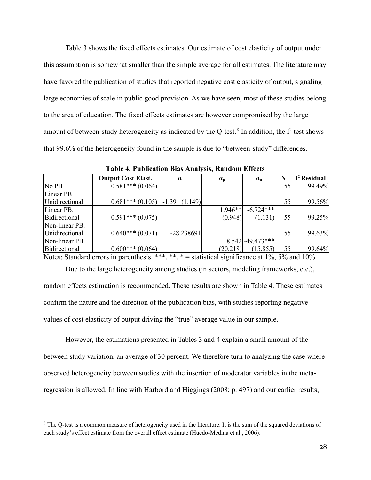Table 3 shows the fixed effects estimates. Our estimate of cost elasticity of output under this assumption is somewhat smaller than the simple average for all estimates. The literature may have favored the publication of studies that reported negative cost elasticity of output, signaling large economies of scale in public good provision. As we have seen, most of these studies belong to the area of education. The fixed effects estimates are however compromised by the large amount of between-study heterogeneity as indicated by the Q-test.<sup>[8](#page-32-0)</sup> In addition, the  $I^2$  test shows that 99.6% of the heterogeneity found in the sample is due to "between-study" differences.

|                | <b>Output Cost Elast.</b>        | $\alpha$     | $\alpha_{\rm p}$ | $\alpha_{\rm n}$   | N  | $I2$ Residual |
|----------------|----------------------------------|--------------|------------------|--------------------|----|---------------|
| No PB          | $0.581***(0.064)$                |              |                  |                    | 55 | 99.49%        |
| Linear PB.     |                                  |              |                  |                    |    |               |
| Unidirectional | $0.681***(0.105)$ -1.391 (1.149) |              |                  |                    | 55 | 99.56%        |
| Linear PB.     |                                  |              | $1.946**$        | $-6.724***$        |    |               |
| Bidirectional  | $0.591***(0.075)$                |              | (0.948)          | (1.131)            | 55 | 99.25%        |
| Non-linear PB. |                                  |              |                  |                    |    |               |
| Unidirectional | $0.640***(0.071)$                | $-28.238691$ |                  |                    | 55 | 99.63%        |
| Non-linear PB. |                                  |              |                  | $8.542$ -49.473*** |    |               |
| Bidirectional  | $0.600***(0.064)$                |              | (20.218)         | (15.855)           | 55 | 99.64%        |

**Table 4. Publication Bias Analysis, Random Effects**

Notes: Standard errors in parenthesis. \*\*\*, \*\*, \* = statistical significance at  $1\%$ , 5% and  $10\%$ .

Due to the large heterogeneity among studies (in sectors, modeling frameworks, etc.), random effects estimation is recommended. These results are shown in Table 4. These estimates confirm the nature and the direction of the publication bias, with studies reporting negative values of cost elasticity of output driving the "true" average value in our sample.

However, the estimations presented in Tables 3 and 4 explain a small amount of the between study variation, an average of 30 percent. We therefore turn to analyzing the case where observed heterogeneity between studies with the insertion of moderator variables in the metaregression is allowed. In line with Harbord and Higgings (2008; p. 497) and our earlier results,

<span id="page-32-0"></span><sup>&</sup>lt;sup>8</sup> The Q-test is a common measure of heterogeneity used in the literature. It is the sum of the squared deviations of each study's effect estimate from the overall effect estimate (Huedo-Medina et al., 2006).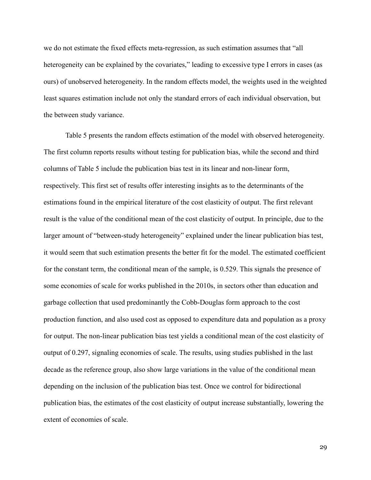we do not estimate the fixed effects meta-regression, as such estimation assumes that "all heterogeneity can be explained by the covariates," leading to excessive type I errors in cases (as ours) of unobserved heterogeneity. In the random effects model, the weights used in the weighted least squares estimation include not only the standard errors of each individual observation, but the between study variance.

Table 5 presents the random effects estimation of the model with observed heterogeneity. The first column reports results without testing for publication bias, while the second and third columns of Table 5 include the publication bias test in its linear and non-linear form, respectively. This first set of results offer interesting insights as to the determinants of the estimations found in the empirical literature of the cost elasticity of output. The first relevant result is the value of the conditional mean of the cost elasticity of output. In principle, due to the larger amount of "between-study heterogeneity" explained under the linear publication bias test, it would seem that such estimation presents the better fit for the model. The estimated coefficient for the constant term, the conditional mean of the sample, is 0.529. This signals the presence of some economies of scale for works published in the 2010s, in sectors other than education and garbage collection that used predominantly the Cobb-Douglas form approach to the cost production function, and also used cost as opposed to expenditure data and population as a proxy for output. The non-linear publication bias test yields a conditional mean of the cost elasticity of output of 0.297, signaling economies of scale. The results, using studies published in the last decade as the reference group, also show large variations in the value of the conditional mean depending on the inclusion of the publication bias test. Once we control for bidirectional publication bias, the estimates of the cost elasticity of output increase substantially, lowering the extent of economies of scale.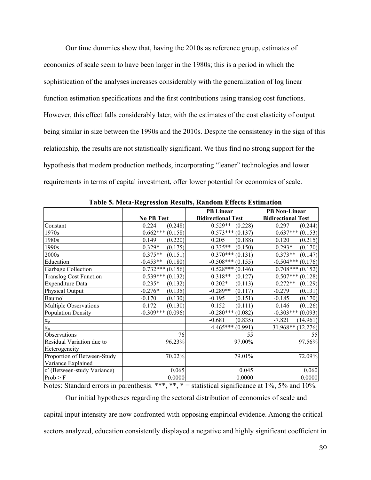Our time dummies show that, having the 2010s as reference group, estimates of economies of scale seem to have been larger in the 1980s; this is a period in which the sophistication of the analyses increases considerably with the generalization of log linear function estimation specifications and the first contributions using translog cost functions. However, this effect falls considerably later, with the estimates of the cost elasticity of output being similar in size between the 1990s and the 2010s. Despite the consistency in the sign of this relationship, the results are not statistically significant. We thus find no strong support for the hypothesis that modern production methods, incorporating "leaner" technologies and lower requirements in terms of capital investment, offer lower potential for economies of scale.

|                                   |                       | <b>PB</b> Linear          | <b>PB</b> Non-Linear      |
|-----------------------------------|-----------------------|---------------------------|---------------------------|
|                                   | <b>No PB Test</b>     | <b>Bidirectional Test</b> | <b>Bidirectional Test</b> |
| Constant                          | 0.224<br>(0.248)      | $0.529**$<br>(0.228)      | 0.297<br>(0.244)          |
| 1970s                             | $0.662***(0.158)$     | $0.573***(0.137)$         | $0.637***(0.153)$         |
| 1980s                             | 0.149<br>(0.220)      | 0.205<br>(0.188)          | 0.120<br>(0.215)          |
| 1990s                             | $0.329*$<br>(0.175)   | $0.335**$<br>(0.150)      | $0.293*$<br>(0.170)       |
| 2000s                             | $0.375**$<br>(0.151)  | $0.370***$<br>(0.131)     | $0.373**$<br>(0.147)      |
| Education                         | $-0.453**$<br>(0.180) | $-0.508***$<br>(0.155)    | $-0.504***$<br>(0.176)    |
| Garbage Collection                | $0.732***$<br>(0.156) | $0.528***$<br>(0.146)     | $0.708***$<br>(0.152)     |
| <b>Translog Cost Function</b>     | $0.539***$<br>(0.132) | $0.318**$<br>(0.127)      | $0.507***$<br>(0.128)     |
| Expenditure Data                  | $0.235*$<br>(0.132)   | $0.202*$<br>(0.113)       | $0.272**$<br>(0.129)      |
| Physical Output                   | (0.135)<br>$-0.276*$  | $-0.289**$<br>(0.117)     | $-0.279$<br>(0.131)       |
| Baumol                            | (0.130)<br>$-0.170$   | $-0.195$<br>(0.151)       | $-0.185$<br>(0.170)       |
| Multiple Observations             | (0.130)<br>0.172      | (0.111)<br>0.152          | 0.146<br>(0.126)          |
| <b>Population Density</b>         | $-0.309***(0.096)$    | $-0.280***$ (0.082)       | $-0.303***$ (0.093)       |
| $\alpha_{p}$                      |                       | $-0.681$<br>(0.835)       | $-7.821$<br>(14.961)      |
| $\alpha_{n}$                      |                       | $-4.465***(0.991)$        | $-31.968**$ (12.276)      |
| Observations                      | 76                    | 55                        | 55                        |
| Residual Variation due to         | 96.23%                | 97.00%                    | 97.56%                    |
| Heterogeneity                     |                       |                           |                           |
| Proportion of Between-Study       | 70.02%                | 79.01%                    | 72.09%                    |
| Variance Explained                |                       |                           |                           |
| $\tau^2$ (Between-study Variance) | 0.065                 | 0.045                     | 0.060                     |
| Prob > F                          | 0.0000                | 0.0000                    | 0.0000                    |

**Table 5. Meta-Regression Results, Random Effects Estimation**

Notes: Standard errors in parenthesis. \*\*\*, \*\*, \* = statistical significance at 1%, 5% and 10%.

Our initial hypotheses regarding the sectoral distribution of economies of scale and

capital input intensity are now confronted with opposing empirical evidence. Among the critical sectors analyzed, education consistently displayed a negative and highly significant coefficient in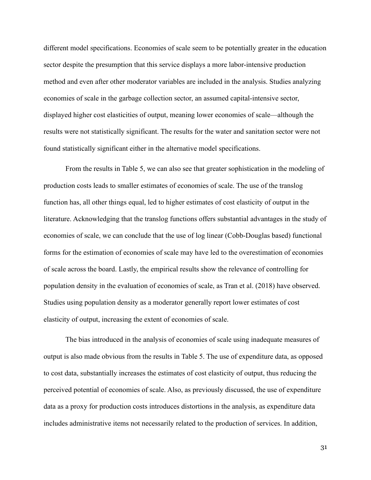different model specifications. Economies of scale seem to be potentially greater in the education sector despite the presumption that this service displays a more labor-intensive production method and even after other moderator variables are included in the analysis. Studies analyzing economies of scale in the garbage collection sector, an assumed capital-intensive sector, displayed higher cost elasticities of output, meaning lower economies of scale—although the results were not statistically significant. The results for the water and sanitation sector were not found statistically significant either in the alternative model specifications.

From the results in Table 5, we can also see that greater sophistication in the modeling of production costs leads to smaller estimates of economies of scale. The use of the translog function has, all other things equal, led to higher estimates of cost elasticity of output in the literature. Acknowledging that the translog functions offers substantial advantages in the study of economies of scale, we can conclude that the use of log linear (Cobb-Douglas based) functional forms for the estimation of economies of scale may have led to the overestimation of economies of scale across the board. Lastly, the empirical results show the relevance of controlling for population density in the evaluation of economies of scale, as Tran et al. (2018) have observed. Studies using population density as a moderator generally report lower estimates of cost elasticity of output, increasing the extent of economies of scale.

The bias introduced in the analysis of economies of scale using inadequate measures of output is also made obvious from the results in Table 5. The use of expenditure data, as opposed to cost data, substantially increases the estimates of cost elasticity of output, thus reducing the perceived potential of economies of scale. Also, as previously discussed, the use of expenditure data as a proxy for production costs introduces distortions in the analysis, as expenditure data includes administrative items not necessarily related to the production of services. In addition,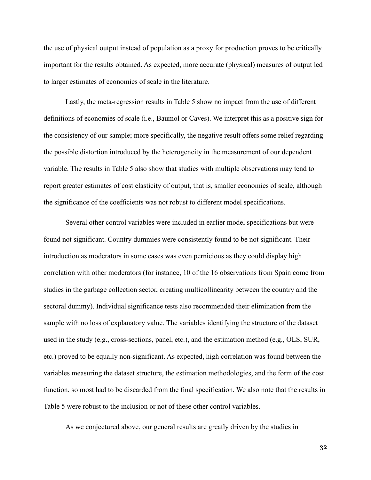the use of physical output instead of population as a proxy for production proves to be critically important for the results obtained. As expected, more accurate (physical) measures of output led to larger estimates of economies of scale in the literature.

Lastly, the meta-regression results in Table 5 show no impact from the use of different definitions of economies of scale (i.e., Baumol or Caves). We interpret this as a positive sign for the consistency of our sample; more specifically, the negative result offers some relief regarding the possible distortion introduced by the heterogeneity in the measurement of our dependent variable. The results in Table 5 also show that studies with multiple observations may tend to report greater estimates of cost elasticity of output, that is, smaller economies of scale, although the significance of the coefficients was not robust to different model specifications.

Several other control variables were included in earlier model specifications but were found not significant. Country dummies were consistently found to be not significant. Their introduction as moderators in some cases was even pernicious as they could display high correlation with other moderators (for instance, 10 of the 16 observations from Spain come from studies in the garbage collection sector, creating multicollinearity between the country and the sectoral dummy). Individual significance tests also recommended their elimination from the sample with no loss of explanatory value. The variables identifying the structure of the dataset used in the study (e.g., cross-sections, panel, etc.), and the estimation method (e.g., OLS, SUR, etc.) proved to be equally non-significant. As expected, high correlation was found between the variables measuring the dataset structure, the estimation methodologies, and the form of the cost function, so most had to be discarded from the final specification. We also note that the results in Table 5 were robust to the inclusion or not of these other control variables.

As we conjectured above, our general results are greatly driven by the studies in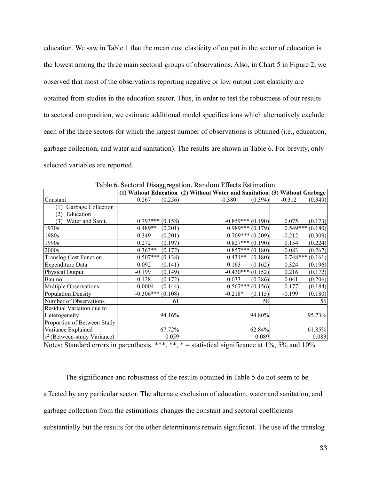education. We saw in Table 1 that the mean cost elasticity of output in the sector of education is the lowest among the three main sectoral groups of observations. Also, in Chart 5 in Figure 2, we observed that most of the observations reporting negative or low output cost elasticity are obtained from studies in the education sector. Thus, in order to test the robustness of our results to sectoral composition, we estimate additional model specifications which alternatively exclude each of the three sectors for which the largest number of observations is obtained (i.e., education, garbage collection, and water and sanitation). The results are shown in Table 6. For brevity, only selected variables are reported.

|                                   |                    |         | (1) Without Education (2) Without Water and Sanitation (3) Without Garbage |         |            |         |
|-----------------------------------|--------------------|---------|----------------------------------------------------------------------------|---------|------------|---------|
| Constant                          | 0.267              | (0.256) | $-0.380$                                                                   | (0.394) | $-0.312$   | (0.349) |
| Garbage Collection<br>(1)         |                    |         |                                                                            |         |            |         |
| Education<br>(2)                  |                    |         |                                                                            |         |            |         |
| Water and Sanit.<br>(3)           | $0.793***(0.158)$  |         | $-0.859***(0.190)$                                                         |         | 0.075      | (0.173) |
| 1970s                             | $0.489**$          | (0.201) | $0.989***(0.179)$                                                          |         | $0.549***$ | (0.180) |
| 1980s                             | 0.349              | (0.201) | $0.709***(0.209)$                                                          |         | $-0.212$   | (0.309) |
| 1990s                             | 0.272              | (0.197) | $0.827***(0.190)$                                                          |         | 0.154      | (0.224) |
| 2000s                             | $0.363**$          | (0.172) | $0.857***(0.180)$                                                          |         | $-0.083$   | (0.267) |
| <b>Translog Cost Function</b>     | $0.507***(0.138)$  |         | $0.431**$                                                                  | (0.180) | $0.748***$ | (0.161) |
| Expenditure Data                  | 0.092              | (0.141) | 0.163                                                                      | (0.162) | 0.324      | (0.196) |
| Physical Output                   | $-0.199$           | (0.149) | $-0.430***$ (0.152)                                                        |         | 0.216      | (0.172) |
| Baumol                            | $-0.128$           | (0.172) | 0.033                                                                      | (0.286) | $-0.041$   | (0.206) |
| Multiple Observations             | $-0.0004$          | (0.144) | $0.567***$                                                                 | (0.156) | 0.177      | (0.184) |
| Population Density                | $-0.306***(0.108)$ |         | $-0.218*$                                                                  | (0.115) | $-0.199$   | (0.180) |
| Number of Observations            |                    | 61      |                                                                            | 58      |            | 56      |
| Residual Variation due to         |                    |         |                                                                            |         |            |         |
| Heterogeneity                     |                    | 94.16%  |                                                                            | 94.80%  |            | 95.73%  |
| Proportion of Between Study       |                    |         |                                                                            |         |            |         |
| Variance Explained                |                    | 67.72%  |                                                                            | 62.84%  |            | 61.85%  |
| $\tau^2$ (Between-study Variance) |                    | 0.059   |                                                                            | 0.089   |            | 0.083   |

Table 6. Sectoral Disaggregation. Random Effects Estimation

Notes: Standard errors in parenthesis. \*\*\*, \*\*, \* = statistical significance at 1%, 5% and 10%.

The significance and robustness of the results obtained in Table 5 do not seem to be affected by any particular sector. The alternate exclusion of education, water and sanitation, and garbage collection from the estimations changes the constant and sectoral coefficients substantially but the results for the other determinants remain significant. The use of the translog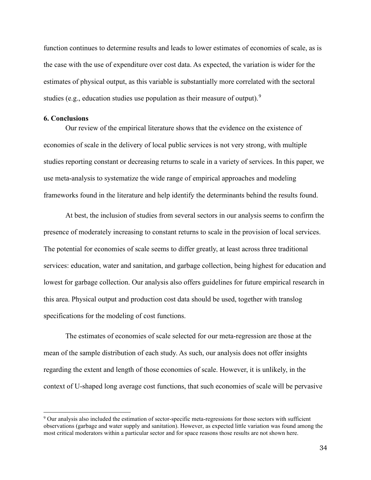function continues to determine results and leads to lower estimates of economies of scale, as is the case with the use of expenditure over cost data. As expected, the variation is wider for the estimates of physical output, as this variable is substantially more correlated with the sectoral studies (e.g., education studies use population as their measure of output).<sup>[9](#page-38-0)</sup>

#### **6. Conclusions**

Our review of the empirical literature shows that the evidence on the existence of economies of scale in the delivery of local public services is not very strong, with multiple studies reporting constant or decreasing returns to scale in a variety of services. In this paper, we use meta-analysis to systematize the wide range of empirical approaches and modeling frameworks found in the literature and help identify the determinants behind the results found.

At best, the inclusion of studies from several sectors in our analysis seems to confirm the presence of moderately increasing to constant returns to scale in the provision of local services. The potential for economies of scale seems to differ greatly, at least across three traditional services: education, water and sanitation, and garbage collection, being highest for education and lowest for garbage collection. Our analysis also offers guidelines for future empirical research in this area. Physical output and production cost data should be used, together with translog specifications for the modeling of cost functions.

The estimates of economies of scale selected for our meta-regression are those at the mean of the sample distribution of each study. As such, our analysis does not offer insights regarding the extent and length of those economies of scale. However, it is unlikely, in the context of U-shaped long average cost functions, that such economies of scale will be pervasive

<span id="page-38-0"></span><sup>9</sup> Our analysis also included the estimation of sector-specific meta-regressions for those sectors with sufficient observations (garbage and water supply and sanitation). However, as expected little variation was found among the most critical moderators within a particular sector and for space reasons those results are not shown here.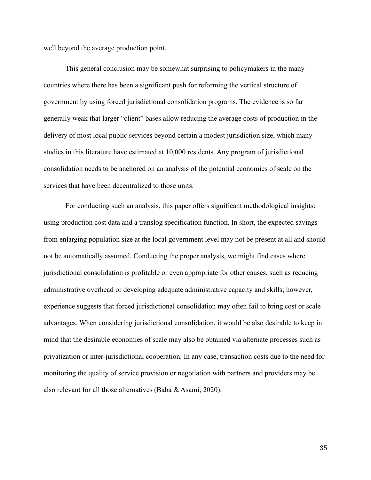well beyond the average production point.

This general conclusion may be somewhat surprising to policymakers in the many countries where there has been a significant push for reforming the vertical structure of government by using forced jurisdictional consolidation programs. The evidence is so far generally weak that larger "client" bases allow reducing the average costs of production in the delivery of most local public services beyond certain a modest jurisdiction size, which many studies in this literature have estimated at 10,000 residents. Any program of jurisdictional consolidation needs to be anchored on an analysis of the potential economies of scale on the services that have been decentralized to those units.

For conducting such an analysis, this paper offers significant methodological insights: using production cost data and a translog specification function. In short, the expected savings from enlarging population size at the local government level may not be present at all and should not be automatically assumed. Conducting the proper analysis, we might find cases where jurisdictional consolidation is profitable or even appropriate for other causes, such as reducing administrative overhead or developing adequate administrative capacity and skills; however, experience suggests that forced jurisdictional consolidation may often fail to bring cost or scale advantages. When considering jurisdictional consolidation, it would be also desirable to keep in mind that the desirable economies of scale may also be obtained via alternate processes such as privatization or inter-jurisdictional cooperation. In any case, transaction costs due to the need for monitoring the quality of service provision or negotiation with partners and providers may be also relevant for all those alternatives (Baba & Asami, 2020).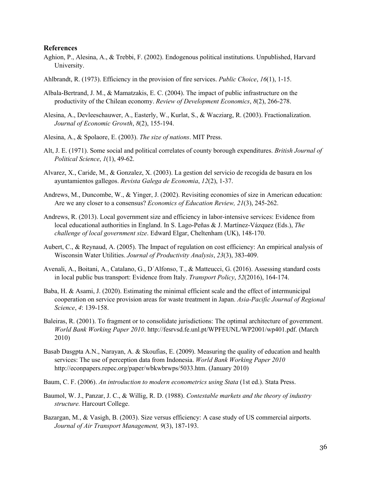#### **References**

- Aghion, P., Alesina, A., & Trebbi, F. (2002). Endogenous political institutions. Unpublished, Harvard University.
- Ahlbrandt, R. (1973). Efficiency in the provision of fire services. *Public Choice*, *16*(1), 1-15.
- Albala-Bertrand, J. M., & Mamatzakis, E. C. (2004). The impact of public infrastructure on the productivity of the Chilean economy. *Review of Development Economics*, *8*(2), 266-278.
- Alesina, A., Devleeschauwer, A., Easterly, W., Kurlat, S., & Wacziarg, R. (2003). Fractionalization. *Journal of Economic Growth*, *8*(2), 155-194.
- Alesina, A., & Spolaore, E. (2003). *The size of nations*. MIT Press.
- Alt, J. E. (1971). Some social and political correlates of county borough expenditures. *British Journal of Political Science*, *1*(1), 49-62.
- Alvarez, X., Caride, M., & Gonzalez, X. (2003). La gestion del servicio de recogida de basura en los ayuntamientos gallegos. *Revista Galega de Economia*, *12*(2), 1-37.
- Andrews, M., Duncombe, W., & Yinger, J. (2002). Revisiting economies of size in American education: Are we any closer to a consensus? *Economics of Education Review, 21*(3), 245-262.
- Andrews, R. (2013). Local government size and efficiency in labor-intensive services: Evidence from local educational authorities in England. In S. Lago-Peñas & J. Martínez-Vázquez (Eds.), *The challenge of local government size*. Edward Elgar, Cheltenham (UK), 148-170.
- Aubert, C., & Reynaud, A. (2005). The Impact of regulation on cost efficiency: An empirical analysis of Wisconsin Water Utilities. *Journal of Productivity Analysis*, *23*(3), 383-409.
- Avenali, A., Boitani, A., Catalano, G., D´Alfonso, T., & Matteucci, G. (2016). Assessing standard costs in local public bus transport: Evidence from Italy. *Transport Policy*, *52*(2016), 164-174.
- Baba, H. & Asami, J. (2020). Estimating the minimal efficient scale and the effect of intermunicipal cooperation on service provision areas for waste treatment in Japan. *Asia-Pacific Journal of Regional Science*, *4*: 139-158.
- Baleiras, R. (2001). To fragment or to consolidate jurisdictions: The optimal architecture of government. *World Bank Working Paper 2010*. http://fesrvsd.fe.unl.pt/WPFEUNL/WP2001/wp401.pdf. (March 2010)
- Basab Dasgpta A.N., Narayan, A. & Skoufias, E. (2009). Measuring the quality of education and health services: The use of perception data from Indonesia. *World Bank Working Paper 2010* http://econpapers.repec.org/paper/wbkwbrwps/5033.htm. (January 2010)
- Baum, C. F. (2006). *An introduction to modern econometrics using Stata* (1st ed.). Stata Press.
- Baumol, W. J., Panzar, J. C., & Willig, R. D. (1988). *Contestable markets and the theory of industry structure.* Harcourt College.
- Bazargan, M., & Vasigh, B. (2003). Size versus efficiency: A case study of US commercial airports. *Journal of Air Transport Management, 9*(3), 187-193.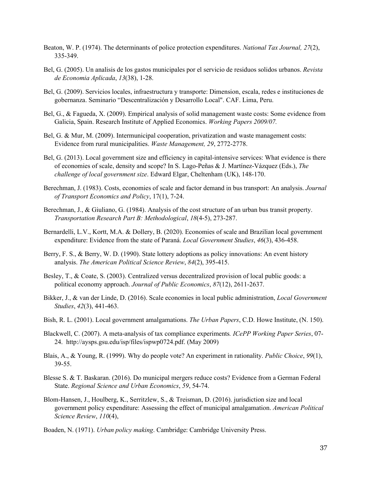- Beaton, W. P. (1974). The determinants of police protection expenditures. *National Tax Journal, 27*(2), 335-349.
- Bel, G. (2005). Un analisis de los gastos municipales por el servicio de residuos solidos urbanos. *Revista de Economia Aplicada*, *13*(38), 1-28.
- Bel, G. (2009). Servicios locales, infraestructura y transporte: Dimension, escala, redes e instituciones de gobernanza. Seminario "Descentralización y Desarrollo Local". CAF. Lima, Peru.
- Bel, G., & Fagueda, X. (2009). Empirical analysis of solid management waste costs: Some evidence from Galicia, Spain. Research Institute of Applied Economics. *Working Papers 2009/07.*
- Bel, G. & Mur, M. (2009). Intermunicipal cooperation, privatization and waste management costs: Evidence from rural municipalities. *Waste Management, 29*, 2772-2778.
- Bel, G. (2013). Local government size and efficiency in capital-intensive services: What evidence is there of economies of scale, density and scope? In S. Lago-Peñas & J. Martínez-Vázquez (Eds.), *The challenge of local government size*. Edward Elgar, Cheltenham (UK), 148-170.
- Berechman, J. (1983). Costs, economies of scale and factor demand in bus transport: An analysis. *Journal of Transport Economics and Policy*, 17(1), 7-24.
- Berechman, J., & Giuliano, G. (1984). Analysis of the cost structure of an urban bus transit property. *Transportation Research Part B: Methodological*, *18*(4-5), 273-287.
- Bernardelli, L.V., Kortt, M.A. & Dollery, B. (2020). Economies of scale and Brazilian local government expenditure: Evidence from the state of Paraná. *Local Government Studies*, *46*(3), 436-458.
- Berry, F. S., & Berry, W. D. (1990). State lottery adoptions as policy innovations: An event history analysis. *The American Political Science Review*, *84*(2), 395-415.
- Besley, T., & Coate, S. (2003). Centralized versus decentralized provision of local public goods: a political economy approach. *Journal of Public Economics*, *87*(12), 2611-2637.
- Bikker, J., & van der Linde, D. (2016). Scale economies in local public administration, *Local Government Studies*, *42*(3), 441-463.
- Bish, R. L. (2001). Local government amalgamations. *The Urban Papers*, C.D. Howe Institute, (N. 150).
- Blackwell, C. (2007). A meta-analysis of tax compliance experiments*. ICePP Working Paper Series*, 07- 24. http://aysps.gsu.edu/isp/files/ispwp0724.pdf. (May 2009)
- Blais, A., & Young, R. (1999). Why do people vote? An experiment in rationality. *Public Choice*, *99*(1), 39-55.
- Blesse S. & T. Baskaran. (2016). Do municipal mergers reduce costs? Evidence from a German Federal State. *Regional Science and Urban Economics*, *59*, 54-74.
- Blom-Hansen, J., Houlberg, K., Serritzlew, S., & Treisman, D. (2016). jurisdiction size and local government policy expenditure: Assessing the effect of municipal amalgamation. *American Political Science Review*, *110*(4),
- Boaden, N. (1971). *Urban policy making*. Cambridge: Cambridge University Press.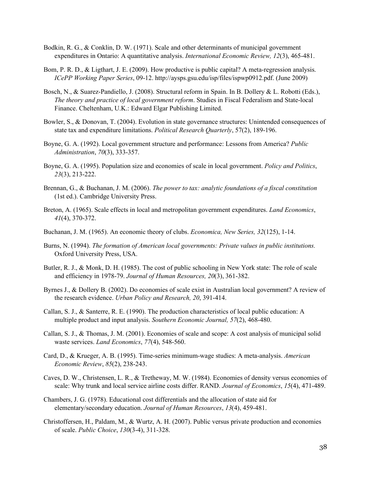- Bodkin, R. G., & Conklin, D. W. (1971). Scale and other determinants of municipal government expenditures in Ontario: A quantitative analysis. *International Economic Review, 12*(3), 465-481.
- Bom, P. R. D., & Ligthart, J. E. (2009). How productive is public capital? A meta-regression analysis. *ICePP Working Paper Series*, 09-12. http://aysps.gsu.edu/isp/files/ispwp0912.pdf. (June 2009)
- Bosch, N., & Suarez-Pandiello, J. (2008). Structural reform in Spain. In B. Dollery & L. Robotti (Eds.), *The theory and practice of local government reform*. Studies in Fiscal Federalism and State-local Finance. Cheltenham, U.K.: Edward Elgar Publishing Limited.
- Bowler, S., & Donovan, T. (2004). Evolution in state governance structures: Unintended consequences of state tax and expenditure limitations. *Political Research Quarterly*, 57(2), 189-196.
- Boyne, G. A. (1992). Local government structure and performance: Lessons from America? *Public Administration*, *70*(3), 333-357.
- Boyne, G. A. (1995). Population size and economies of scale in local government. *Policy and Politics*, *23*(3), 213-222.
- Brennan, G., & Buchanan, J. M. (2006). *The power to tax: analytic foundations of a fiscal constitution* (1st ed.). Cambridge University Press.
- Breton, A. (1965). Scale effects in local and metropolitan government expenditures. *Land Economics*, *41*(4), 370-372.
- Buchanan, J. M. (1965). An economic theory of clubs. *Economica, New Series, 32*(125), 1-14.
- Burns, N. (1994). *The formation of American local governments: Private values in public institutions.* Oxford University Press, USA.
- Butler, R. J., & Monk, D. H. (1985). The cost of public schooling in New York state: The role of scale and efficiency in 1978-79. *Journal of Human Resources, 20*(3), 361-382.
- Byrnes J., & Dollery B. (2002). Do economies of scale exist in Australian local government? A review of the research evidence. *Urban Policy and Research, 20*, 391-414.
- Callan, S. J., & Santerre, R. E. (1990). The production characteristics of local public education: A multiple product and input analysis. *Southern Economic Journal, 57*(2), 468-480.
- Callan, S. J., & Thomas, J. M. (2001). Economies of scale and scope: A cost analysis of municipal solid waste services. *Land Economics*, *77*(4), 548-560.
- Card, D., & Krueger, A. B. (1995). Time-series minimum-wage studies: A meta-analysis. *American Economic Review*, *85*(2), 238-243.
- Caves, D. W., Christensen, L. R., & Tretheway, M. W. (1984). Economies of density versus economies of scale: Why trunk and local service airline costs differ. RAND. *Journal of Economics*, *15*(4), 471-489.
- Chambers, J. G. (1978). Educational cost differentials and the allocation of state aid for elementary/secondary education. *Journal of Human Resources*, *13*(4), 459-481.
- Christoffersen, H., Paldam, M., & Wurtz, A. H. (2007). Public versus private production and economies of scale. *Public Choice*, *130*(3-4), 311-328.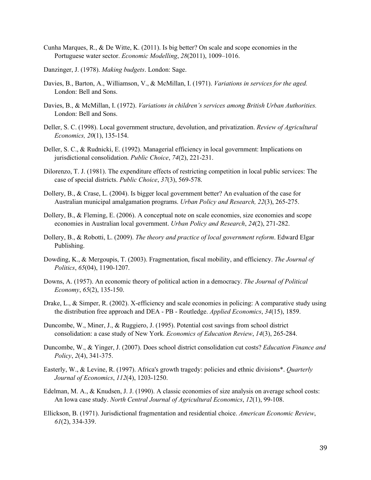- Cunha Marques, R., & De Witte, K. (2011). Is big better? On scale and scope economies in the Portuguese water sector. *Economic Modelling*, *28*(2011), 1009–1016.
- Danzinger, J. (1978). *Making budgets*. London: Sage.
- Davies, B., Barton, A., Williamson, V., & McMillan, I. (1971). *Variations in services for the aged.* London: Bell and Sons.
- Davies, B., & McMillan, I. (1972). *Variations in children's services among British Urban Authorities.* London: Bell and Sons.
- Deller, S. C. (1998). Local government structure, devolution, and privatization. *Review of Agricultural Economics, 20*(1), 135-154.
- Deller, S. C., & Rudnicki, E. (1992). Managerial efficiency in local government: Implications on jurisdictional consolidation. *Public Choice*, *74*(2), 221-231.
- Dilorenzo, T. J. (1981). The expenditure effects of restricting competition in local public services: The case of special districts. *Public Choice*, *37*(3), 569-578.
- Dollery, B., & Crase, L. (2004). Is bigger local government better? An evaluation of the case for Australian municipal amalgamation programs. *Urban Policy and Research, 22*(3), 265-275.
- Dollery, B., & Fleming, E. (2006). A conceptual note on scale economies, size economies and scope economies in Australian local government. *Urban Policy and Research*, *24*(2), 271-282.
- Dollery, B., & Robotti, L. (2009). *The theory and practice of local government reform*. Edward Elgar Publishing.
- Dowding, K., & Mergoupis, T. (2003). Fragmentation, fiscal mobility, and efficiency. *The Journal of Politics*, *65*(04), 1190-1207.
- Downs, A. (1957). An economic theory of political action in a democracy. *The Journal of Political Economy*, *65*(2), 135-150.
- Drake, L., & Simper, R. (2002). X-efficiency and scale economies in policing: A comparative study using the distribution free approach and DEA - PB - Routledge. *Applied Economics*, *34*(15), 1859.
- Duncombe, W., Miner, J., & Ruggiero, J. (1995). Potential cost savings from school district consolidation: a case study of New York. *Economics of Education Review*, *14*(3), 265-284.
- Duncombe, W., & Yinger, J. (2007). Does school district consolidation cut costs? *Education Finance and Policy*, *2*(4), 341-375.
- Easterly, W., & Levine, R. (1997). Africa's growth tragedy: policies and ethnic divisions\*. *Quarterly Journal of Economics*, *112*(4), 1203-1250.
- Edelman, M. A., & Knudsen, J. J. (1990). A classic economies of size analysis on average school costs: An Iowa case study. *North Central Journal of Agricultural Economics*, *12*(1), 99-108.
- Ellickson, B. (1971). Jurisdictional fragmentation and residential choice. *American Economic Review*, *61*(2), 334-339.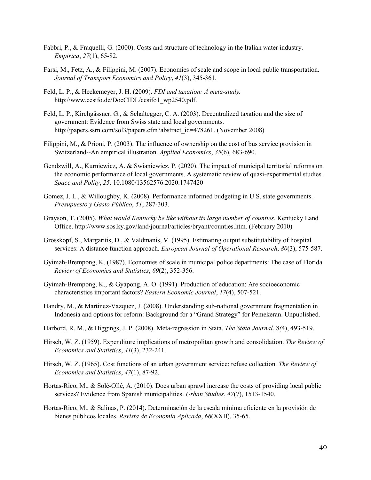- Fabbri, P., & Fraquelli, G. (2000). Costs and structure of technology in the Italian water industry. *Empirica*, *27*(1), 65-82.
- Farsi, M., Fetz, A., & Filippini, M. (2007). Economies of scale and scope in local public transportation. *Journal of Transport Economics and Policy*, *41*(3), 345-361.
- Feld, L. P., & Heckemeyer, J. H. (2009). *FDI and taxation: A meta-study.*  http://www.cesifo.de/DocCIDL/cesifo1\_wp2540.pdf.
- Feld, L. P., Kirchgässner, G., & Schaltegger, C. A. (2003). Decentralized taxation and the size of government: Evidence from Swiss state and local governments. http://papers.ssrn.com/sol3/papers.cfm?abstract\_id=478261. (November 2008)
- Filippini, M., & Prioni, P. (2003). The influence of ownership on the cost of bus service provision in Switzerland--An empirical illustration. *Applied Economics*, *35*(6), 683-690.
- Gendzwill, A., Kurniewicz, A. & Swianiewicz, P. (2020). The impact of municipal territorial reforms on the economic performance of local governments. A systematic review of quasi-experimental studies. *Space and Polity*, *25*. 10.1080/13562576.2020.1747420
- Gomez, J. L., & Willoughby, K. (2008). Performance informed budgeting in U.S. state governments. *Presupuesto y Gasto Público*, *51*, 287-303.
- Grayson, T. (2005). *What would Kentucky be like without its large number of counties*. Kentucky Land Office. http://www.sos.ky.gov/land/journal/articles/bryant/counties.htm. (February 2010)
- Grosskopf, S., Margaritis, D., & Valdmanis, V. (1995). Estimating output substitutability of hospital services: A distance function approach. *European Journal of Operational Research*, *80*(3), 575-587.
- Gyimah-Brempong, K. (1987). Economies of scale in municipal police departments: The case of Florida. *Review of Economics and Statistics*, *69*(2), 352-356.
- Gyimah-Brempong, K., & Gyapong, A. O. (1991). Production of education: Are socioeconomic characteristics important factors? *Eastern Economic Journal*, *17*(4), 507-521.
- Handry, M., & Martinez-Vazquez, J. (2008). Understanding sub-national government fragmentation in Indonesia and options for reform: Background for a "Grand Strategy" for Pemekeran. Unpublished.
- Harbord, R. M., & Higgings, J. P. (2008). Meta-regression in Stata. *The Stata Journal*, 8*(*4), 493-519.
- Hirsch, W. Z. (1959). Expenditure implications of metropolitan growth and consolidation. *The Review of Economics and Statistics*, *41*(3), 232-241.
- Hirsch, W. Z. (1965). Cost functions of an urban government service: refuse collection. *The Review of Economics and Statistics*, *47*(1), 87-92.
- Hortas-Rico, M., & Solé-Ollé, A. (2010). Does urban sprawl increase the costs of providing local public services? Evidence from Spanish municipalities. *Urban Studies*, *47*(7), 1513-1540.
- Hortas-Rico, M., & Salinas, P. (2014). Determinación de la escala mínima eficiente en la provisión de bienes públicos locales. *Revista de Economía Aplicada*, *66*(XXII), 35-65.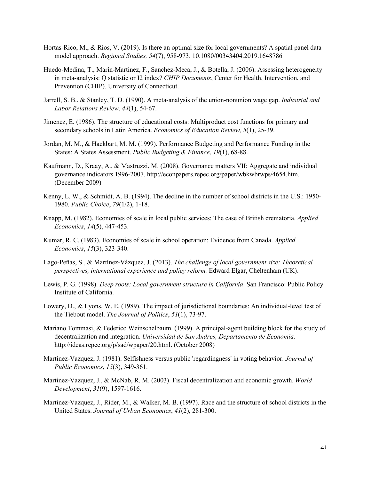- Hortas-Rico, M., & Ríos, V. (2019). Is there an optimal size for local governments? A spatial panel data model approach. *Regional Studies, 54*(7), 958-973. 10.1080/00343404.2019.1648786
- Huedo-Medina, T., Marin-Martinez, F., Sanchez-Meca, J., & Botella, J. (2006). Assessing heterogeneity in meta-analysis: Q statistic or I2 index? *CHIP Documents*, Center for Health, Intervention, and Prevention (CHIP). University of Connecticut.
- Jarrell, S. B., & Stanley, T. D. (1990). A meta-analysis of the union-nonunion wage gap. *Industrial and Labor Relations Review*, *44*(1), 54-67.
- Jimenez, E. (1986). The structure of educational costs: Multiproduct cost functions for primary and secondary schools in Latin America. *Economics of Education Review, 5*(1), 25-39.
- Jordan, M. M., & Hackbart, M. M. (1999). Performance Budgeting and Performance Funding in the States: A States Assessment. *Public Budgeting & Finance*, *19*(1), 68-88.
- Kaufmann, D., Kraay, A., & Mastruzzi, M. (2008). Governance matters VII: Aggregate and individual governance indicators 1996-2007. http://econpapers.repec.org/paper/wbkwbrwps/4654.htm. (December 2009)
- Kenny, L. W., & Schmidt, A. B. (1994). The decline in the number of school districts in the U.S.: 1950- 1980. *Public Choice*, *79*(1/2), 1-18.
- Knapp, M. (1982). Economies of scale in local public services: The case of British crematoria. *Applied Economics*, *14*(5), 447-453.
- Kumar, R. C. (1983). Economies of scale in school operation: Evidence from Canada. *Applied Economics*, *15*(3), 323-340.
- Lago-Peñas, S., & Martínez-Vázquez, J. (2013). *The challenge of local government size: Theoretical perspectives, international experience and policy reform.* Edward Elgar, Cheltenham (UK).
- Lewis, P. G. (1998). *Deep roots: Local government structure in California*. San Francisco: Public Policy Institute of California.
- Lowery, D., & Lyons, W. E. (1989). The impact of jurisdictional boundaries: An individual-level test of the Tiebout model. *The Journal of Politics*, *51*(1), 73-97.
- Mariano Tommasi, & Federico Weinschelbaum. (1999). A principal-agent building block for the study of decentralization and integration. *Universidad de San Andres, Departamento de Economia.* http://ideas.repec.org/p/sad/wpaper/20.html. (October 2008)
- Martinez-Vazquez, J. (1981). Selfishness versus public 'regardingness' in voting behavior. *Journal of Public Economics*, *15*(3), 349-361.
- Martinez-Vazquez, J., & McNab, R. M. (2003). Fiscal decentralization and economic growth. *World Development*, *31*(9), 1597-1616.
- Martinez-Vazquez, J., Rider, M., & Walker, M. B. (1997). Race and the structure of school districts in the United States. *Journal of Urban Economics*, *41*(2), 281-300.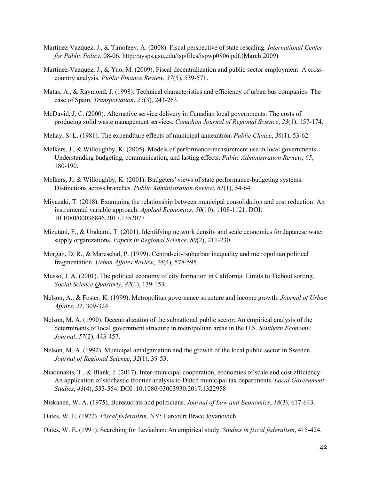- Martinez-Vazquez, J., & Timofeev, A. (2008). Fiscal perspective of state rescaling. *International Center for Public Policy*, 08-06*.* http://aysps.gsu.edu/isp/files/ispwp0806.pdf.(March 2009)
- Martinez-Vazquez, J., & Yao, M. (2009). Fiscal decentralization and public sector employment: A crosscountry analysis. *Public Finance Review*, *37*(5), 539-571.
- Matas, A., & Raymond, J. (1998). Technical characteristics and efficiency of urban bus companies: The case of Spain. *Transportation*, *25*(3), 243-263.
- McDavid, J. C. (2000). Alternative service delivery in Canadian local governments: The costs of producing solid waste management services. *Canadian Journal of Regional Science*, *23*(1), 157-174.
- Mehay, S. L. (1981). The expenditure effects of municipal annexation. *Public Choice*, *36*(1), 53-62.
- Melkers, J., & Willoughby, K. (2005). Models of performance-measurement use in local governments: Understanding budgeting, communication, and lasting effects. *Public Administration Review*, *65*, 180-190.
- Melkers, J., & Willoughby, K. (2001). Budgeters' views of state performance-budgeting systems: Distinctions across branches. *Public Administration Review*, *61*(1), 54-64.
- Miyazaki, T. (2018). Examining the relationship between municipal consolidation and cost reduction: An instrumental variable approach. *Applied Economics*, *50*(10), 1108-1121. DOI: 10.1080/00036846.2017.1352077
- Mizutani, F., & Urakami, T. (2001). Identifying network density and scale economies for Japanese water supply organizations. *Papers in Regional Science*, *80*(2), 211-230.
- Morgan, D. R., & Mareschal, P. (1999). Central-city/suburban inequality and metropolitan political fragmentation. *Urban Affairs Review*, *34*(4), 578-595.
- Musso, J. A. (2001). The political economy of city formation in California: Limits to Tiebout sorting. *Social Science Quarterly*, *82*(1), 139-153.
- Nelson, A., & Foster, K. (1999). Metropolitan governance structure and income growth. *Journal of Urban Affairs*, *21*, 309-324.
- Nelson, M. A. (1990). Decentralization of the subnational public sector: An empirical analysis of the determinants of local government structure in metropolitan areas in the U.S. *Southern Economic Journal*, *57*(2), 443-457.
- Nelson, M. A. (1992). Municipal amalgamation and the growth of the local public sector in Sweden. *Journal of Regional Science*, *32*(1), 39-53.
- Niaounakis, T., & Blank, J. (2017). Inter-municipal cooperation, economies of scale and cost efficiency: An application of stochastic frontier analysis to Dutch municipal tax departments. *Local Government Studies*, *43*(4), 533-554. DOI: 10.1080/03003930.2017.1322958
- Niskanen, W. A. (1975). Bureaucrats and politicians. *Journal of Law and Economics*, *18*(3), 617-643.
- Oates, W. E. (1972). *Fiscal federalism*. NY: Harcourt Brace Jovanovich.
- Oates, W. E. (1991). Searching for Leviathan: An empirical study. *Studies in fiscal federalism*, 415-424.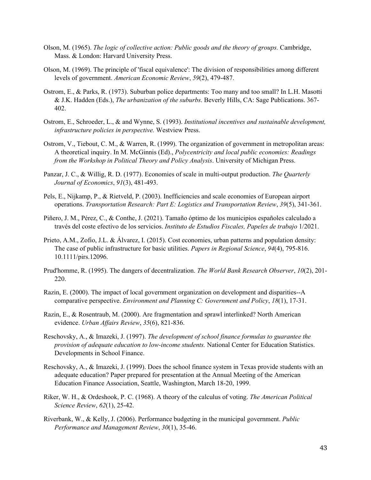- Olson, M. (1965). *The logic of collective action: Public goods and the theory of groups.* Cambridge, Mass. & London: Harvard University Press.
- Olson, M. (1969). The principle of 'fiscal equivalence': The division of responsibilities among different levels of government. *American Economic Review*, *59*(2), 479-487.
- Ostrom, E., & Parks, R. (1973). Suburban police departments: Too many and too small? In L.H. Masotti & J.K. Hadden (Eds.), *The urbanization of the suburbs*. Beverly Hills, CA: Sage Publications. 367- 402.
- Ostrom, E., Schroeder, L., & and Wynne, S. (1993). *Institutional incentives and sustainable development, infrastructure policies in perspective.* Westview Press.
- Ostrom, V., Tiebout, C. M., & Warren, R. (1999). The organization of government in metropolitan areas: A theoretical inquiry. In M. McGinnis (Ed)., *Polycentricity and local public economies: Readings from the Workshop in Political Theory and Policy Analysis*. University of Michigan Press.
- Panzar, J. C., & Willig, R. D. (1977). Economies of scale in multi-output production. *The Quarterly Journal of Economics*, *91*(3), 481-493.
- Pels, E., Nijkamp, P., & Rietveld, P. (2003). Inefficiencies and scale economies of European airport operations. *Transportation Research: Part E: Logistics and Transportation Review*, *39*(5), 341-361.
- Piñero, J. M., Pérez, C., & Conthe, J. (2021). Tamaño óptimo de los municipios españoles calculado a través del coste efectivo de los servicios. *Instituto de Estudios Fiscales, Papeles de trabajo* 1/2021.
- Prieto, A.M., Zofio, J.L. & Álvarez, I. (2015). Cost economies, urban patterns and population density: The case of public infrastructure for basic utilities. *Papers in Regional Science*, *94*(4), 795-816. 10.1111/pirs.12096.
- Prud'homme, R. (1995). The dangers of decentralization. *The World Bank Research Observer*, *10*(2), 201- 220.
- Razin, E. (2000). The impact of local government organization on development and disparities--A comparative perspective. *Environment and Planning C: Government and Policy*, *18*(1), 17-31.
- Razin, E., & Rosentraub, M. (2000). Are fragmentation and sprawl interlinked? North American evidence. *Urban Affairs Review*, *35*(6), 821-836.
- Reschovsky, A., & Imazeki, J. (1997). *The development of school finance formulas to guarantee the provision of adequate education to low-income students.* National Center for Education Statistics. Developments in School Finance.
- Reschovsky, A., & Imazeki, J. (1999). Does the school finance system in Texas provide students with an adequate education? Paper prepared for presentation at the Annual Meeting of the American Education Finance Association, Seattle, Washington, March 18-20, 1999.
- Riker, W. H., & Ordeshook, P. C. (1968). A theory of the calculus of voting. *The American Political Science Review*, *62*(1), 25-42.
- Riverbank, W., & Kelly, J. (2006). Performance budgeting in the municipal government. *Public Performance and Management Review*, *30*(1), 35-46.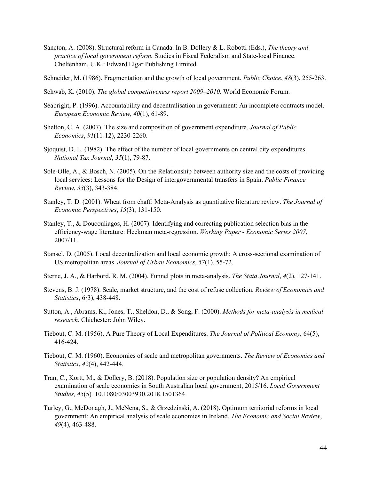Sancton, A. (2008). Structural reform in Canada. In B. Dollery & L. Robotti (Eds.), *The theory and practice of local government reform.* Studies in Fiscal Federalism and State-local Finance. Cheltenham, U.K.: Edward Elgar Publishing Limited.

Schneider, M. (1986). Fragmentation and the growth of local government. *Public Choice*, *48*(3), 255-263.

- Schwab, K. (2010). *The global competitiveness report 2009–2010.* World Economic Forum.
- Seabright, P. (1996). Accountability and decentralisation in government: An incomplete contracts model. *European Economic Review*, *40*(1), 61-89.
- Shelton, C. A. (2007). The size and composition of government expenditure. *Journal of Public Economics*, *91*(11-12), 2230-2260.
- Sjoquist, D. L. (1982). The effect of the number of local governments on central city expenditures. *National Tax Journal*, *35*(1), 79-87.
- Sole-Olle, A., & Bosch, N. (2005). On the Relationship between authority size and the costs of providing local services: Lessons for the Design of intergovernmental transfers in Spain. *Public Finance Review*, *33*(3), 343-384.
- Stanley, T. D. (2001). Wheat from chaff: Meta-Analysis as quantitative literature review. *The Journal of Economic Perspectives*, *15*(3), 131-150.
- Stanley, T., & Doucouliagos, H. (2007). Identifying and correcting publication selection bias in the efficiency-wage literature: Heckman meta-regression. *Working Paper - Economic Series 2007*, 2007/11.
- Stansel, D. (2005). Local decentralization and local economic growth: A cross-sectional examination of US metropolitan areas. *Journal of Urban Economics*, *57*(1), 55-72.
- Sterne, J. A., & Harbord, R. M. (2004). Funnel plots in meta-analysis. *The Stata Journal*, *4*(2), 127-141.
- Stevens, B. J. (1978). Scale, market structure, and the cost of refuse collection. *Review of Economics and Statistics*, 6*(*3), 438-448.
- Sutton, A., Abrams, K., Jones, T., Sheldon, D., & Song, F. (2000). *Methods for meta-analysis in medical research.* Chichester: John Wiley.
- Tiebout, C. M. (1956). A Pure Theory of Local Expenditures. *The Journal of Political Economy*, 64(5), 416-424.
- Tiebout, C. M. (1960). Economies of scale and metropolitan governments. *The Review of Economics and Statistics*, *42*(4), 442-444.
- Tran, C., Kortt, M., & Dollery, B. (2018). Population size or population density? An empirical examination of scale economies in South Australian local government, 2015/16. *Local Government Studies, 45*(5)*.* 10.1080/03003930.2018.1501364
- Turley, G., McDonagh, J., McNena, S., & Grzedzinski, A. (2018). Optimum territorial reforms in local government: An empirical analysis of scale economies in Ireland. *The Economic and Social Review*, *49*(4), 463-488.